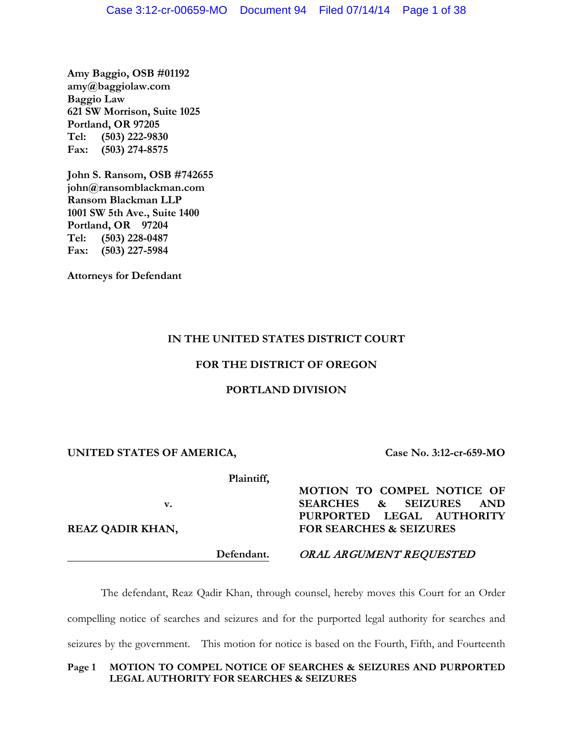**Amy Baggio, OSB #01192 amy@baggiolaw.com Baggio Law 621 SW Morrison, Suite 1025 Portland, OR 97205 Tel: (503) 222-9830 Fax: (503) 274-8575**

**John S. Ransom, OSB #742655 john@ransomblackman.com Ransom Blackman LLP 1001 SW 5th Ave., Suite 1400 Portland, OR 97204 Tel: (503) 228-0487 Fax: (503) 227-5984**

**Attorneys for Defendant**

# **IN THE UNITED STATES DISTRICT COURT**

## **FOR THE DISTRICT OF OREGON**

## **PORTLAND DIVISION**

## **UNITED STATES OF AMERICA,**

**Case No. 3:12-cr-659-MO**

**Plaintiff,**

**v.**

**REAZ QADIR KHAN,**

**Defendant.**

**MOTION TO COMPEL NOTICE OF SEARCHES & SEIZURES AND PURPORTED LEGAL AUTHORITY FOR SEARCHES & SEIZURES**

ORAL ARGUMENT REQUESTED

The defendant, Reaz Qadir Khan, through counsel, hereby moves this Court for an Order compelling notice of searches and seizures and for the purported legal authority for searches and seizures by the government. This motion for notice is based on the Fourth, Fifth, and Fourteenth

# **Page 1 MOTION TO COMPEL NOTICE OF SEARCHES & SEIZURES AND PURPORTED LEGAL AUTHORITY FOR SEARCHES & SEIZURES**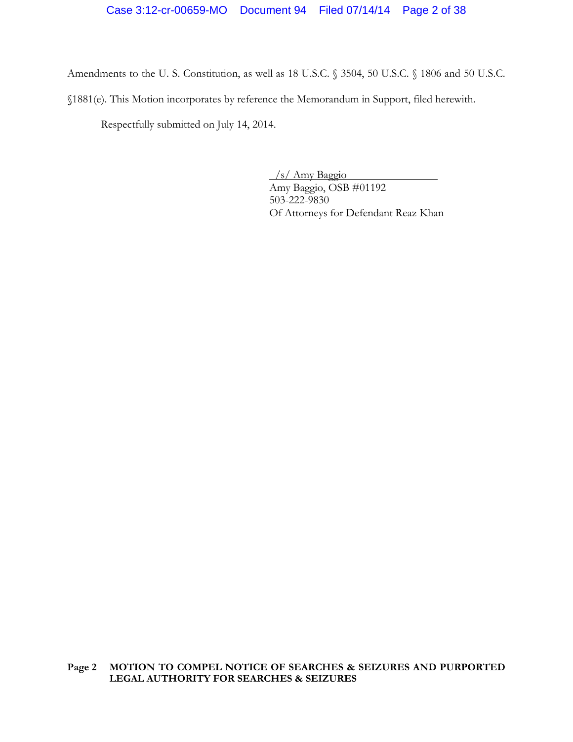Amendments to the U. S. Constitution, as well as 18 U.S.C. § 3504, 50 U.S.C. § 1806 and 50 U.S.C. §1881(e). This Motion incorporates by reference the Memorandum in Support, filed herewith.

Respectfully submitted on July 14, 2014.

/s/ Amy Baggio Amy Baggio, OSB #01192 503-222-9830 Of Attorneys for Defendant Reaz Khan

**Page 2 MOTION TO COMPEL NOTICE OF SEARCHES & SEIZURES AND PURPORTED LEGAL AUTHORITY FOR SEARCHES & SEIZURES**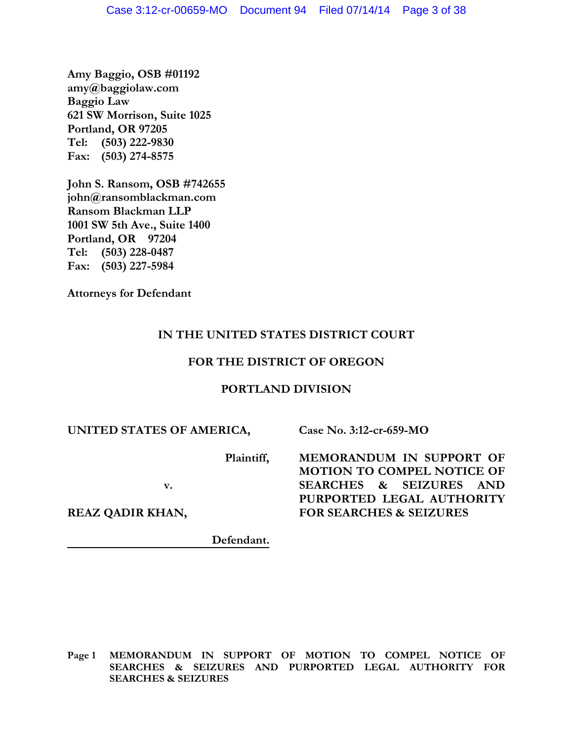**Amy Baggio, OSB #01192 amy@baggiolaw.com Baggio Law 621 SW Morrison, Suite 1025 Portland, OR 97205 Tel: (503) 222-9830 Fax: (503) 274-8575**

**John S. Ransom, OSB #742655 john@ransomblackman.com Ransom Blackman LLP 1001 SW 5th Ave., Suite 1400 Portland, OR 97204 Tel: (503) 228-0487 Fax: (503) 227-5984**

**Attorneys for Defendant**

# **IN THE UNITED STATES DISTRICT COURT**

# **FOR THE DISTRICT OF OREGON**

# **PORTLAND DIVISION**

# **UNITED STATES OF AMERICA,**

**Plaintiff,**

**v.**

**REAZ QADIR KHAN,**

**Defendant.**

**Page 1 MEMORANDUM IN SUPPORT OF MOTION TO COMPEL NOTICE OF SEARCHES & SEIZURES AND PURPORTED LEGAL AUTHORITY FOR SEARCHES & SEIZURES**

**MEMORANDUM IN SUPPORT OF** 

**Case No. 3:12-cr-659-MO**

**MOTION TO COMPEL NOTICE OF SEARCHES & SEIZURES AND PURPORTED LEGAL AUTHORITY FOR SEARCHES & SEIZURES**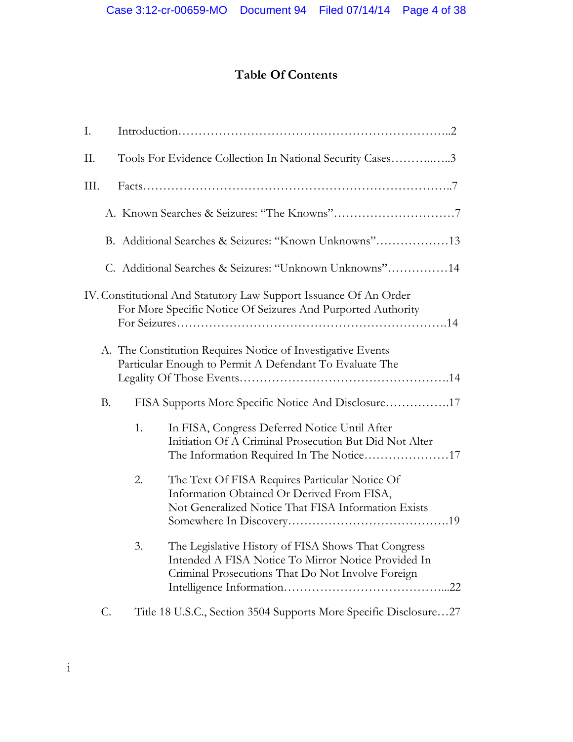# **Table Of Contents**

| Ι.   |           |    |                                                                                                                                                                 |  |
|------|-----------|----|-----------------------------------------------------------------------------------------------------------------------------------------------------------------|--|
| П.   |           |    | Tools For Evidence Collection In National Security Cases3                                                                                                       |  |
| III. |           |    |                                                                                                                                                                 |  |
|      |           |    |                                                                                                                                                                 |  |
|      |           |    | B. Additional Searches & Seizures: "Known Unknowns"13                                                                                                           |  |
|      |           |    | C. Additional Searches & Seizures: "Unknown Unknowns"14                                                                                                         |  |
|      |           |    | IV. Constitutional And Statutory Law Support Issuance Of An Order<br>For More Specific Notice Of Seizures And Purported Authority                               |  |
|      |           |    | A. The Constitution Requires Notice of Investigative Events<br>Particular Enough to Permit A Defendant To Evaluate The                                          |  |
|      | <b>B.</b> |    | FISA Supports More Specific Notice And Disclosure17                                                                                                             |  |
|      |           | 1. | In FISA, Congress Deferred Notice Until After<br>Initiation Of A Criminal Prosecution But Did Not Alter<br>The Information Required In The Notice17             |  |
|      |           | 2. | The Text Of FISA Requires Particular Notice Of<br>Information Obtained Or Derived From FISA,<br>Not Generalized Notice That FISA Information Exists             |  |
|      |           | 3. | The Legislative History of FISA Shows That Congress<br>Intended A FISA Notice To Mirror Notice Provided In<br>Criminal Prosecutions That Do Not Involve Foreign |  |
|      | C.        |    | Title 18 U.S.C., Section 3504 Supports More Specific Disclosure27                                                                                               |  |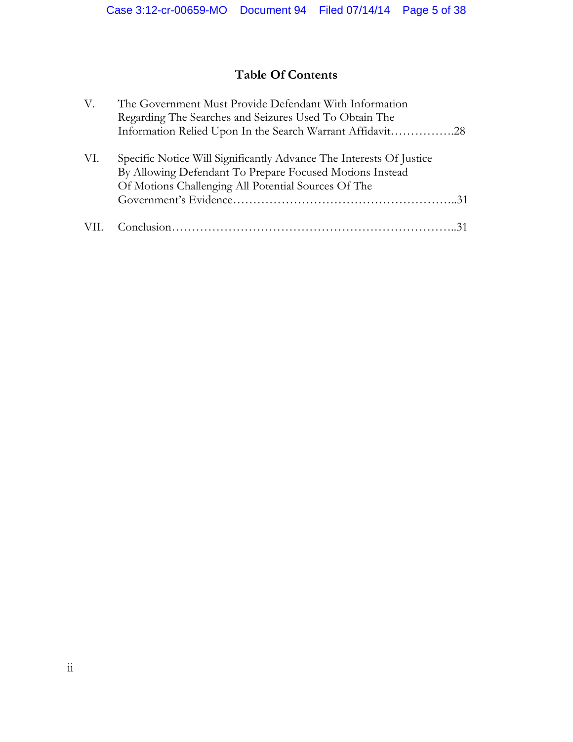# **Table Of Contents**

| V.  | The Government Must Provide Defendant With Information<br>Regarding The Searches and Seizures Used To Obtain The<br>Information Relied Upon In the Search Warrant Affidavit28          |
|-----|----------------------------------------------------------------------------------------------------------------------------------------------------------------------------------------|
| VI. | Specific Notice Will Significantly Advance The Interests Of Justice<br>By Allowing Defendant To Prepare Focused Motions Instead<br>Of Motions Challenging All Potential Sources Of The |
|     |                                                                                                                                                                                        |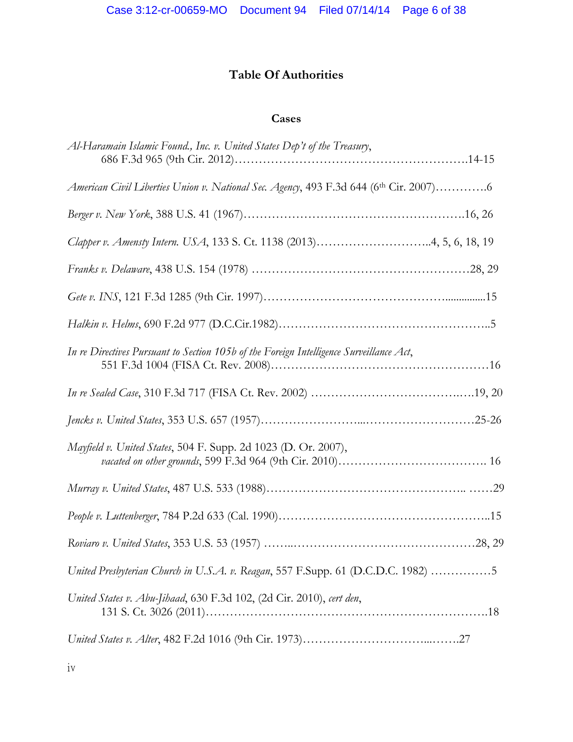# **Table Of Authorities**

# **Cases**

| Al-Haramain Islamic Found., Inc. v. United States Dep't of the Treasury,                |
|-----------------------------------------------------------------------------------------|
| American Civil Liberties Union v. National Sec. Agency, 493 F.3d 644 (6th Cir. 2007)6   |
|                                                                                         |
| Clapper v. Amensty Intern. USA, 133 S. Ct. 1138 (2013)4, 5, 6, 18, 19                   |
|                                                                                         |
|                                                                                         |
|                                                                                         |
| In re Directives Pursuant to Section 105b of the Foreign Intelligence Surveillance Act, |
|                                                                                         |
|                                                                                         |
| Mayfield v. United States, 504 F. Supp. 2d 1023 (D. Or. 2007),                          |
|                                                                                         |
|                                                                                         |
|                                                                                         |
| United Presbyterian Church in U.S.A. v. Reagan, 557 F.Supp. 61 (D.C.D.C. 1982) 5        |
| United States v. Abu-Jihaad, 630 F.3d 102, (2d Cir. 2010), cert den,                    |
|                                                                                         |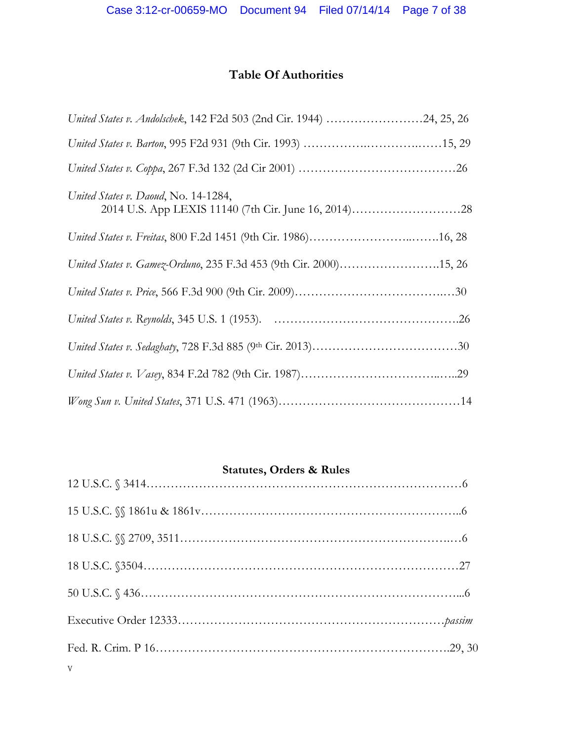# **Table Of Authorities**

| United States v. Andolschek, 142 F2d 503 (2nd Cir. 1944) 24, 25, 26 |
|---------------------------------------------------------------------|
|                                                                     |
|                                                                     |
| United States v. Daoud, No. 14-1284,                                |
|                                                                     |
| United States v. Gamez-Orduno, 235 F.3d 453 (9th Cir. 2000)15, 26   |
|                                                                     |
|                                                                     |
|                                                                     |
|                                                                     |
|                                                                     |

# **Statutes, Orders & Rules**

| $\mathbf V$ |  |
|-------------|--|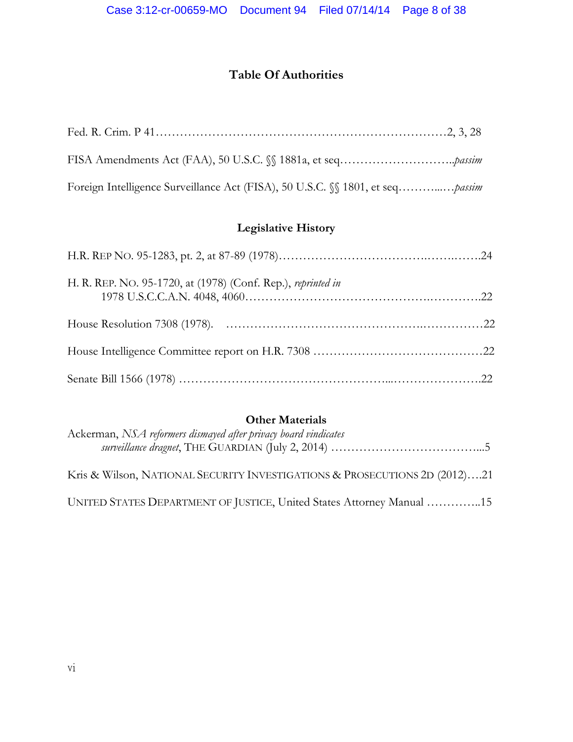# **Table Of Authorities**

# **Legislative History**

| H. R. REP. NO. 95-1720, at (1978) (Conf. Rep.), reprinted in |  |
|--------------------------------------------------------------|--|
|                                                              |  |
|                                                              |  |
|                                                              |  |

# **Other Materials**

| Ackerman, NSA reformers dismayed after privacy board vindicates            |
|----------------------------------------------------------------------------|
| Kris & Wilson, NATIONAL SECURITY INVESTIGATIONS & PROSECUTIONS 2D (2012)21 |
| UNITED STATES DEPARTMENT OF JUSTICE, United States Attorney Manual 15      |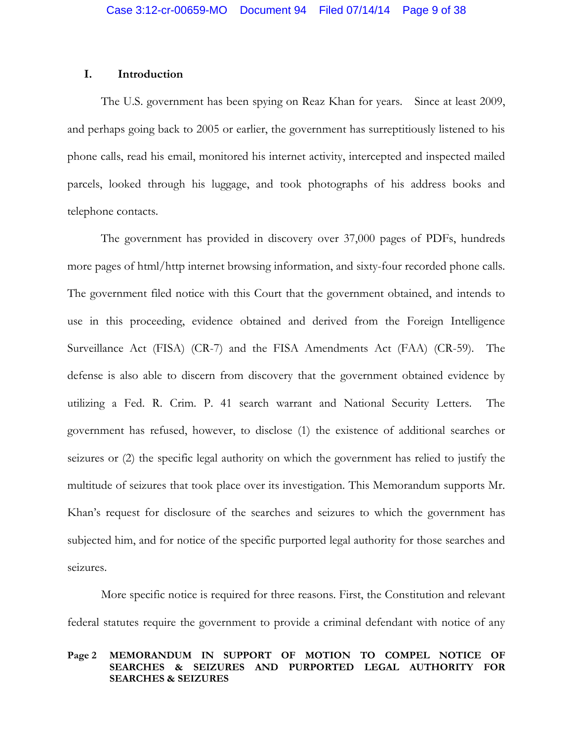## **I. Introduction**

The U.S. government has been spying on Reaz Khan for years. Since at least 2009, and perhaps going back to 2005 or earlier, the government has surreptitiously listened to his phone calls, read his email, monitored his internet activity, intercepted and inspected mailed parcels, looked through his luggage, and took photographs of his address books and telephone contacts.

The government has provided in discovery over 37,000 pages of PDFs, hundreds more pages of html/http internet browsing information, and sixty-four recorded phone calls. The government filed notice with this Court that the government obtained, and intends to use in this proceeding, evidence obtained and derived from the Foreign Intelligence Surveillance Act (FISA) (CR-7) and the FISA Amendments Act (FAA) (CR-59). The defense is also able to discern from discovery that the government obtained evidence by utilizing a Fed. R. Crim. P. 41 search warrant and National Security Letters. The government has refused, however, to disclose (1) the existence of additional searches or seizures or (2) the specific legal authority on which the government has relied to justify the multitude of seizures that took place over its investigation. This Memorandum supports Mr. Khan's request for disclosure of the searches and seizures to which the government has subjected him, and for notice of the specific purported legal authority for those searches and seizures.

More specific notice is required for three reasons. First, the Constitution and relevant federal statutes require the government to provide a criminal defendant with notice of any

#### **Page 2 MEMORANDUM IN SUPPORT OF MOTION TO COMPEL NOTICE OF SEARCHES & SEIZURES AND PURPORTED LEGAL AUTHORITY FOR SEARCHES & SEIZURES**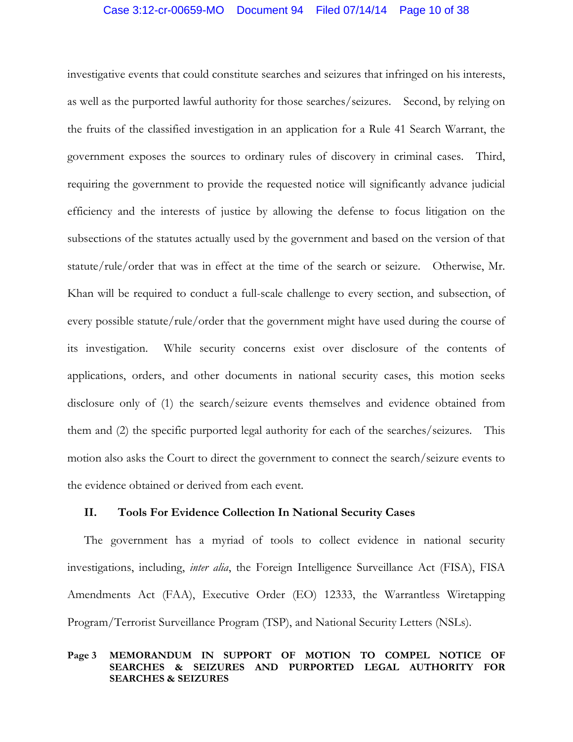investigative events that could constitute searches and seizures that infringed on his interests, as well as the purported lawful authority for those searches/seizures. Second, by relying on the fruits of the classified investigation in an application for a Rule 41 Search Warrant, the government exposes the sources to ordinary rules of discovery in criminal cases. Third, requiring the government to provide the requested notice will significantly advance judicial efficiency and the interests of justice by allowing the defense to focus litigation on the subsections of the statutes actually used by the government and based on the version of that statute/rule/order that was in effect at the time of the search or seizure. Otherwise, Mr. Khan will be required to conduct a full-scale challenge to every section, and subsection, of every possible statute/rule/order that the government might have used during the course of its investigation. While security concerns exist over disclosure of the contents of applications, orders, and other documents in national security cases, this motion seeks disclosure only of (1) the search/seizure events themselves and evidence obtained from them and (2) the specific purported legal authority for each of the searches/seizures. This motion also asks the Court to direct the government to connect the search/seizure events to the evidence obtained or derived from each event.

# **II. Tools For Evidence Collection In National Security Cases**

The government has a myriad of tools to collect evidence in national security investigations, including, *inter alia*, the Foreign Intelligence Surveillance Act (FISA), FISA Amendments Act (FAA), Executive Order (EO) 12333, the Warrantless Wiretapping Program/Terrorist Surveillance Program (TSP), and National Security Letters (NSLs).

#### **Page 3 MEMORANDUM IN SUPPORT OF MOTION TO COMPEL NOTICE OF SEARCHES & SEIZURES AND PURPORTED LEGAL AUTHORITY FOR SEARCHES & SEIZURES**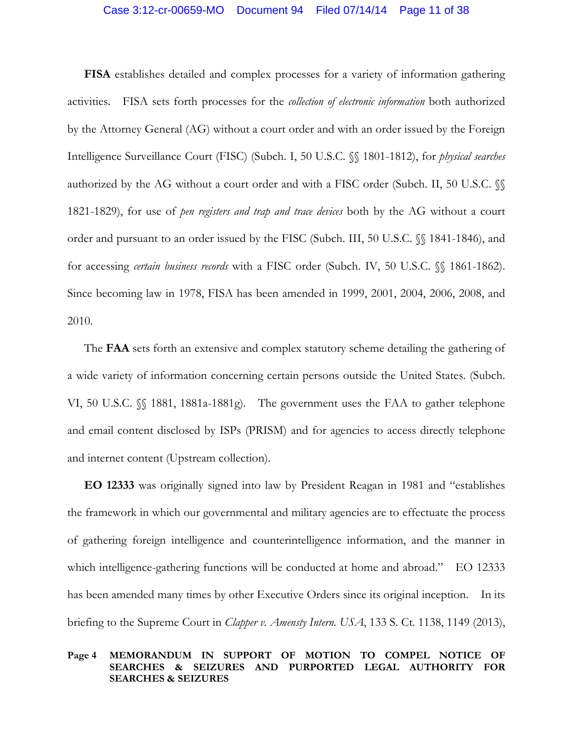**FISA** establishes detailed and complex processes for a variety of information gathering activities. FISA sets forth processes for the *collection of electronic information* both authorized by the Attorney General (AG) without a court order and with an order issued by the Foreign Intelligence Surveillance Court (FISC) (Subch. I, 50 U.S.C. §§ 1801-1812), for *physical searches* authorized by the AG without a court order and with a FISC order (Subch. II, 50 U.S.C. §§ 1821-1829), for use of *pen registers and trap and trace devices* both by the AG without a court order and pursuant to an order issued by the FISC (Subch. III, 50 U.S.C. §§ 1841-1846), and for accessing *certain business records* with a FISC order (Subch. IV, 50 U.S.C. §§ 1861-1862). Since becoming law in 1978, FISA has been amended in 1999, 2001, 2004, 2006, 2008, and 2010.

The **FAA** sets forth an extensive and complex statutory scheme detailing the gathering of a wide variety of information concerning certain persons outside the United States. (Subch. VI, 50 U.S.C. §§ 1881, 1881a-1881g). The government uses the FAA to gather telephone and email content disclosed by ISPs (PRISM) and for agencies to access directly telephone and internet content (Upstream collection).

**EO 12333** was originally signed into law by President Reagan in 1981 and "establishes the framework in which our governmental and military agencies are to effectuate the process of gathering foreign intelligence and counterintelligence information, and the manner in which intelligence-gathering functions will be conducted at home and abroad." EO 12333 has been amended many times by other Executive Orders since its original inception. In its briefing to the Supreme Court in *Clapper v. Amensty Intern. USA*, 133 S. Ct. 1138, 1149 (2013),

#### **Page 4 MEMORANDUM IN SUPPORT OF MOTION TO COMPEL NOTICE OF SEARCHES & SEIZURES AND PURPORTED LEGAL AUTHORITY FOR SEARCHES & SEIZURES**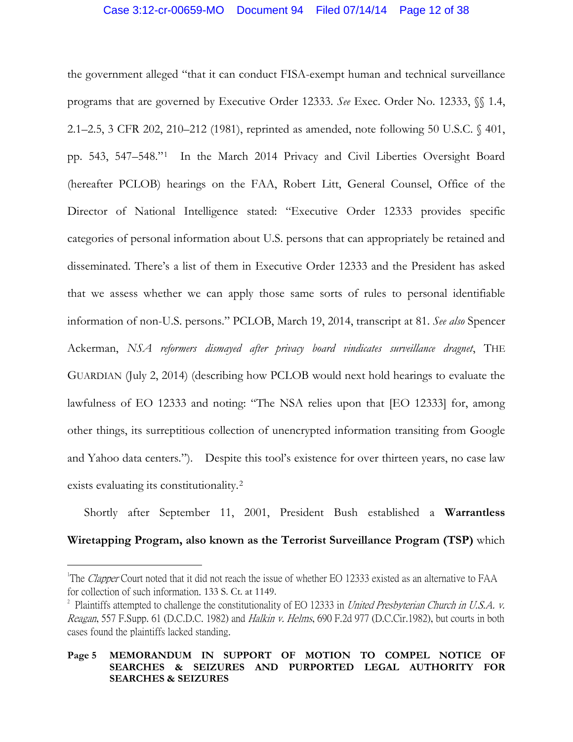the government alleged "that it can conduct FISA-exempt human and technical surveillance programs that are governed by Executive Order 12333. *See* Exec. Order No. 12333, §§ 1.4, 2.1–2.5, 3 CFR 202, 210–212 (1981), reprinted as amended, note following 50 U.S.C. § 401, pp. 543, 547–548."[1](#page-11-0) In the March 2014 Privacy and Civil Liberties Oversight Board (hereafter PCLOB) hearings on the FAA, Robert Litt, General Counsel, Office of the Director of National Intelligence stated: "Executive Order 12333 provides specific categories of personal information about U.S. persons that can appropriately be retained and disseminated. There's a list of them in Executive Order 12333 and the President has asked that we assess whether we can apply those same sorts of rules to personal identifiable information of non-U.S. persons." PCLOB, March 19, 2014, transcript at 81. *See also* Spencer Ackerman, *NSA reformers dismayed after privacy board vindicates surveillance dragnet*, THE GUARDIAN (July 2, 2014) (describing how PCLOB would next hold hearings to evaluate the lawfulness of EO 12333 and noting: "The NSA relies upon that [EO 12333] for, among other things, its surreptitious collection of unencrypted information transiting from Google and Yahoo data centers."). Despite this tool's existence for over thirteen years, no case law exists evaluating its constitutionality.[2](#page-11-1) 

Shortly after September 11, 2001, President Bush established a **Warrantless Wiretapping Program, also known as the Terrorist Surveillance Program (TSP)** which

<span id="page-11-0"></span> $\frac{1}{1}$ <sup>1</sup>The *Clapper* Court noted that it did not reach the issue of whether EO 12333 existed as an alternative to FAA for collection of such information. 133 S. Ct. at 1149.

<span id="page-11-1"></span><sup>&</sup>lt;sup>2</sup> Plaintiffs attempted to challenge the constitutionality of EO 12333 in *United Presbyterian Church in U.S.A. v.* Reagan, 557 F.Supp. 61 (D.C.D.C. 1982) and Halkin v. Helms, 690 F.2d 977 (D.C.Cir.1982), but courts in both cases found the plaintiffs lacked standing.

**Page 5 MEMORANDUM IN SUPPORT OF MOTION TO COMPEL NOTICE OF SEARCHES & SEIZURES AND PURPORTED LEGAL AUTHORITY FOR SEARCHES & SEIZURES**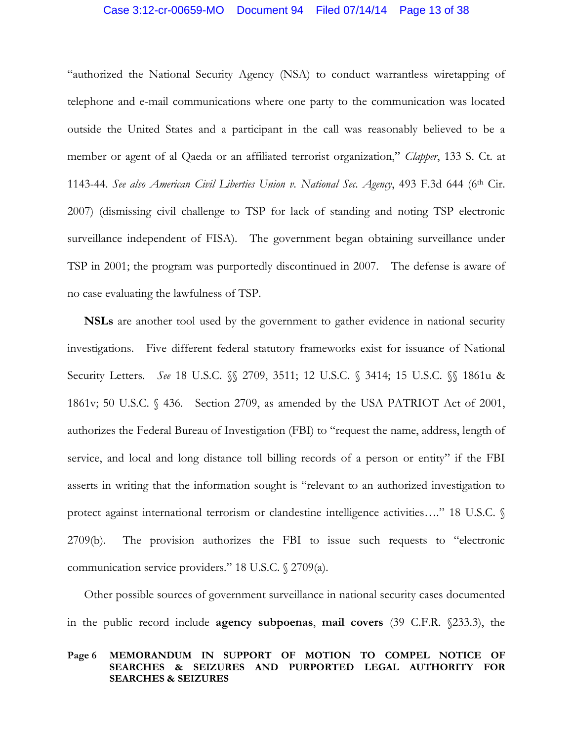## Case 3:12-cr-00659-MO Document 94 Filed 07/14/14 Page 13 of 38

"authorized the National Security Agency (NSA) to conduct warrantless wiretapping of telephone and e-mail communications where one party to the communication was located outside the United States and a participant in the call was reasonably believed to be a member or agent of al Qaeda or an affiliated terrorist organization," *Clapper*, 133 S. Ct. at 1143-44. *See also American Civil Liberties Union v. National Sec. Agency*, 493 F.3d 644 (6th Cir. 2007) (dismissing civil challenge to TSP for lack of standing and noting TSP electronic surveillance independent of FISA). The government began obtaining surveillance under TSP in 2001; the program was purportedly discontinued in 2007. The defense is aware of no case evaluating the lawfulness of TSP.

**NSLs** are another tool used by the government to gather evidence in national security investigations. Five different federal statutory frameworks exist for issuance of National Security Letters. *See* 18 U.S.C. §§ 2709, 3511; 12 U.S.C. § 3414; 15 U.S.C. §§ 1861u & 1861v; 50 U.S.C. § 436. Section 2709, as amended by the USA PATRIOT Act of 2001, authorizes the Federal Bureau of Investigation (FBI) to "request the name, address, length of service, and local and long distance toll billing records of a person or entity" if the FBI asserts in writing that the information sought is "relevant to an authorized investigation to protect against international terrorism or clandestine intelligence activities…." 18 U.S.C. § 2709(b). The provision authorizes the FBI to issue such requests to "electronic communication service providers." 18 U.S.C. § 2709(a).

Other possible sources of government surveillance in national security cases documented in the public record include **agency subpoenas**, **mail covers** (39 C.F.R. §233.3), the

#### **Page 6 MEMORANDUM IN SUPPORT OF MOTION TO COMPEL NOTICE OF SEARCHES & SEIZURES AND PURPORTED LEGAL AUTHORITY FOR SEARCHES & SEIZURES**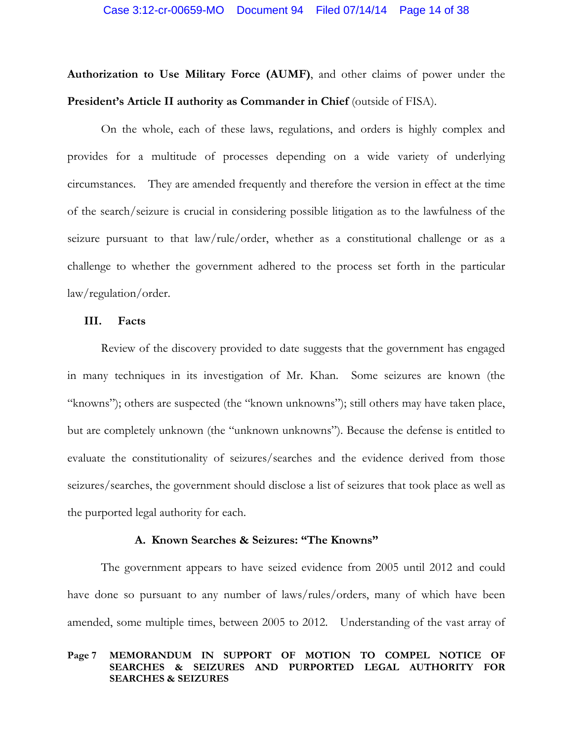#### Case 3:12-cr-00659-MO Document 94 Filed 07/14/14 Page 14 of 38

**Authorization to Use Military Force (AUMF)**, and other claims of power under the **President's Article II authority as Commander in Chief** (outside of FISA).

On the whole, each of these laws, regulations, and orders is highly complex and provides for a multitude of processes depending on a wide variety of underlying circumstances. They are amended frequently and therefore the version in effect at the time of the search/seizure is crucial in considering possible litigation as to the lawfulness of the seizure pursuant to that law/rule/order, whether as a constitutional challenge or as a challenge to whether the government adhered to the process set forth in the particular law/regulation/order.

## **III. Facts**

Review of the discovery provided to date suggests that the government has engaged in many techniques in its investigation of Mr. Khan. Some seizures are known (the "knowns"); others are suspected (the "known unknowns"); still others may have taken place, but are completely unknown (the "unknown unknowns"). Because the defense is entitled to evaluate the constitutionality of seizures/searches and the evidence derived from those seizures/searches, the government should disclose a list of seizures that took place as well as the purported legal authority for each.

## **A. Known Searches & Seizures: "The Knowns"**

The government appears to have seized evidence from 2005 until 2012 and could have done so pursuant to any number of laws/rules/orders, many of which have been amended, some multiple times, between 2005 to 2012. Understanding of the vast array of

#### **Page 7 MEMORANDUM IN SUPPORT OF MOTION TO COMPEL NOTICE OF SEARCHES & SEIZURES AND PURPORTED LEGAL AUTHORITY FOR SEARCHES & SEIZURES**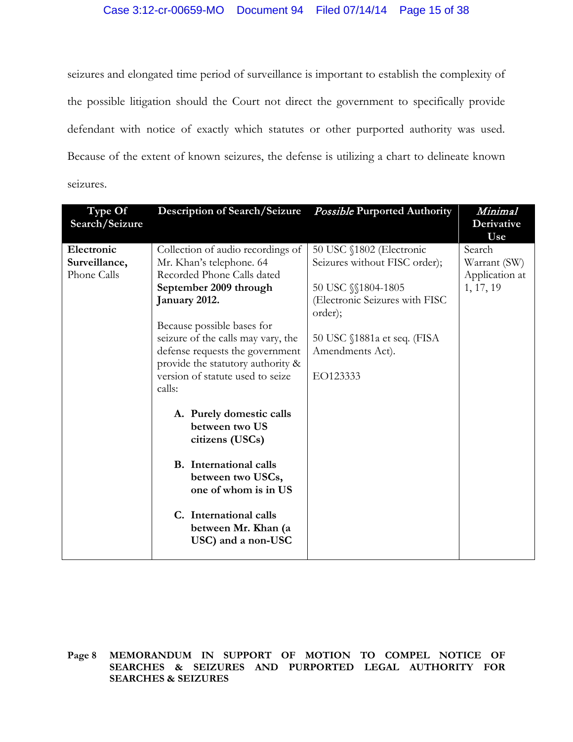seizures and elongated time period of surveillance is important to establish the complexity of the possible litigation should the Court not direct the government to specifically provide defendant with notice of exactly which statutes or other purported authority was used. Because of the extent of known seizures, the defense is utilizing a chart to delineate known seizures.

| Type Of<br>Search/Seizure | <b>Description of Search/Seizure</b>                                  | <b>Possible Purported Authority</b>       | Minimal<br>Derivative |
|---------------------------|-----------------------------------------------------------------------|-------------------------------------------|-----------------------|
|                           |                                                                       |                                           | Use                   |
| Electronic                | Collection of audio recordings of                                     | 50 USC §1802 (Electronic                  | Search                |
| Surveillance,             | Mr. Khan's telephone. 64                                              | Seizures without FISC order);             | Warrant (SW)          |
| Phone Calls               | Recorded Phone Calls dated                                            |                                           | Application at        |
|                           | September 2009 through                                                | 50 USC §§1804-1805                        | 1, 17, 19             |
|                           | January 2012.                                                         | (Electronic Seizures with FISC<br>order); |                       |
|                           | Because possible bases for                                            |                                           |                       |
|                           | seizure of the calls may vary, the                                    | 50 USC $$1881a$ et seq. (FISA             |                       |
|                           | defense requests the government                                       | Amendments Act).                          |                       |
|                           | provide the statutory authority &<br>version of statute used to seize | EO123333                                  |                       |
|                           | calls:                                                                |                                           |                       |
|                           |                                                                       |                                           |                       |
|                           | A. Purely domestic calls                                              |                                           |                       |
|                           | between two US                                                        |                                           |                       |
|                           | citizens (USCs)                                                       |                                           |                       |
|                           | <b>B.</b> International calls                                         |                                           |                       |
|                           | between two USCs,                                                     |                                           |                       |
|                           | one of whom is in US                                                  |                                           |                       |
|                           | C. International calls                                                |                                           |                       |
|                           | between Mr. Khan (a                                                   |                                           |                       |
|                           | USC) and a non-USC                                                    |                                           |                       |
|                           |                                                                       |                                           |                       |

**Page 8 MEMORANDUM IN SUPPORT OF MOTION TO COMPEL NOTICE OF SEARCHES & SEIZURES AND PURPORTED LEGAL AUTHORITY FOR SEARCHES & SEIZURES**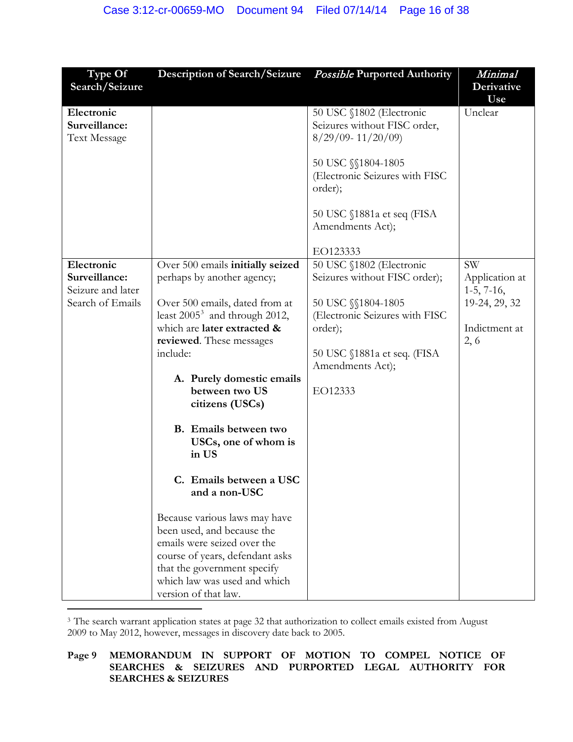| Type Of                                                              | <b>Description of Search/Seizure</b>                                                                                                                                                                                                                                                                                                                                                                                                                                                                                                                                                                        | <b>Possible Purported Authority</b>                                                                                                                                                                        | Minimal                                                                               |
|----------------------------------------------------------------------|-------------------------------------------------------------------------------------------------------------------------------------------------------------------------------------------------------------------------------------------------------------------------------------------------------------------------------------------------------------------------------------------------------------------------------------------------------------------------------------------------------------------------------------------------------------------------------------------------------------|------------------------------------------------------------------------------------------------------------------------------------------------------------------------------------------------------------|---------------------------------------------------------------------------------------|
| Search/Seizure                                                       |                                                                                                                                                                                                                                                                                                                                                                                                                                                                                                                                                                                                             |                                                                                                                                                                                                            | Derivative                                                                            |
| Electronic<br>Surveillance:<br><b>Text Message</b>                   |                                                                                                                                                                                                                                                                                                                                                                                                                                                                                                                                                                                                             | 50 USC §1802 (Electronic<br>Seizures without FISC order,<br>$8/29/09 - 11/20/09$<br>50 USC $\S$ 1804-1805<br>(Electronic Seizures with FISC<br>order);<br>50 USC §1881a et seq (FISA<br>Amendments Act);   | Use<br>Unclear                                                                        |
| Electronic<br>Surveillance:<br>Seizure and later<br>Search of Emails | Over 500 emails initially seized<br>perhaps by another agency;<br>Over 500 emails, dated from at<br>least $2005^3$ and through 2012,<br>which are later extracted &<br>reviewed. These messages<br>include:<br>A. Purely domestic emails<br>between two US<br>citizens (USCs)<br>B. Emails between two<br>USCs, one of whom is<br>in US<br>C. Emails between a USC<br>and a non-USC<br>Because various laws may have<br>been used, and because the<br>emails were seized over the<br>course of years, defendant asks<br>that the government specify<br>which law was used and which<br>version of that law. | EO123333<br>50 USC §1802 (Electronic<br>Seizures without FISC order);<br>50 USC $\$ 1804-1805<br>(Electronic Seizures with FISC<br>order);<br>50 USC $$1881a$ et seq. (FISA<br>Amendments Act);<br>EO12333 | <b>SW</b><br>Application at<br>$1-5, 7-16,$<br>19-24, 29, 32<br>Indictment at<br>2, 6 |
|                                                                      |                                                                                                                                                                                                                                                                                                                                                                                                                                                                                                                                                                                                             |                                                                                                                                                                                                            |                                                                                       |

<span id="page-15-0"></span><sup>3</sup> The search warrant application states at page 32 that authorization to collect emails existed from August 2009 to May 2012, however, messages in discovery date back to 2005.

**Page 9 MEMORANDUM IN SUPPORT OF MOTION TO COMPEL NOTICE OF SEARCHES & SEIZURES AND PURPORTED LEGAL AUTHORITY FOR SEARCHES & SEIZURES**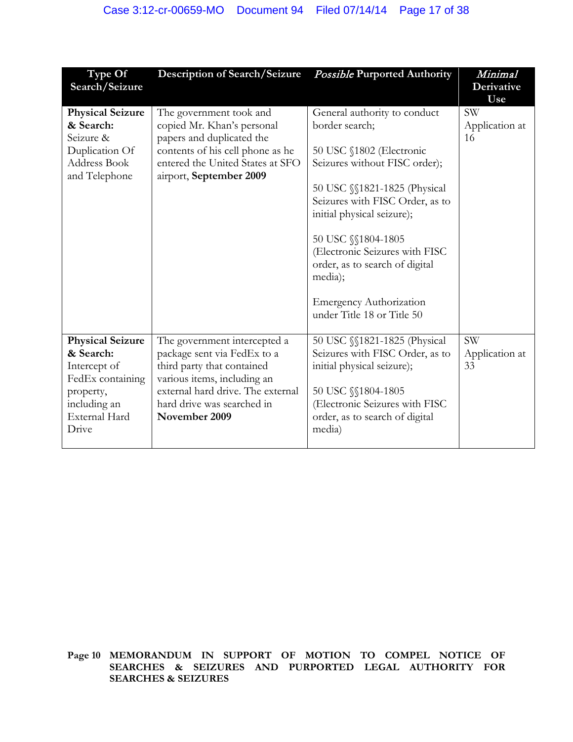| Type Of<br>Search/Seizure                                                                                                              | <b>Description of Search/Seizure</b>                                                                                                                                                                         | <b>Possible Purported Authority</b>                                                                                                                                                                                                                                                                                                                                               | Minimal<br>Derivative<br>Use      |
|----------------------------------------------------------------------------------------------------------------------------------------|--------------------------------------------------------------------------------------------------------------------------------------------------------------------------------------------------------------|-----------------------------------------------------------------------------------------------------------------------------------------------------------------------------------------------------------------------------------------------------------------------------------------------------------------------------------------------------------------------------------|-----------------------------------|
| <b>Physical Seizure</b><br>& Search:<br>Seizure &<br>Duplication Of<br><b>Address Book</b><br>and Telephone                            | The government took and<br>copied Mr. Khan's personal<br>papers and duplicated the<br>contents of his cell phone as he<br>entered the United States at SFO<br>airport, September 2009                        | General authority to conduct<br>border search;<br>50 USC §1802 (Electronic<br>Seizures without FISC order);<br>50 USC §§1821-1825 (Physical<br>Seizures with FISC Order, as to<br>initial physical seizure);<br>50 USC §§1804-1805<br>(Electronic Seizures with FISC<br>order, as to search of digital<br>media);<br><b>Emergency Authorization</b><br>under Title 18 or Title 50 | <b>SW</b><br>Application at<br>16 |
| <b>Physical Seizure</b><br>& Search:<br>Intercept of<br>FedEx containing<br>property,<br>including an<br><b>External Hard</b><br>Drive | The government intercepted a<br>package sent via FedEx to a<br>third party that contained<br>various items, including an<br>external hard drive. The external<br>hard drive was searched in<br>November 2009 | 50 USC §§1821-1825 (Physical<br>Seizures with FISC Order, as to<br>initial physical seizure);<br>50 USC §§1804-1805<br>(Electronic Seizures with FISC<br>order, as to search of digital<br>media)                                                                                                                                                                                 | <b>SW</b><br>Application at<br>33 |

**Page 10 MEMORANDUM IN SUPPORT OF MOTION TO COMPEL NOTICE OF SEARCHES & SEIZURES AND PURPORTED LEGAL AUTHORITY FOR SEARCHES & SEIZURES**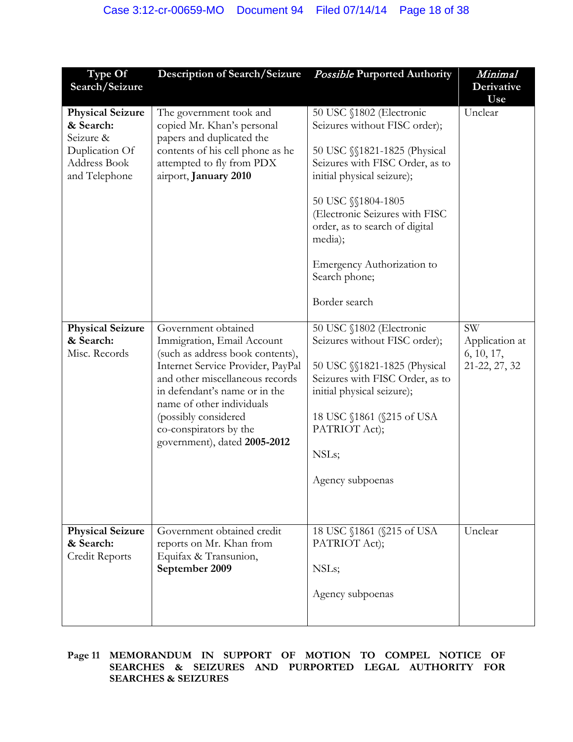| Type Of                                                                                              | <b>Description of Search/Seizure</b>                                                                                                                                                                                                                                                                          | <b>Possible Purported Authority</b>                                                                                                                                                                                                                                                                                             | Minimal                                                    |
|------------------------------------------------------------------------------------------------------|---------------------------------------------------------------------------------------------------------------------------------------------------------------------------------------------------------------------------------------------------------------------------------------------------------------|---------------------------------------------------------------------------------------------------------------------------------------------------------------------------------------------------------------------------------------------------------------------------------------------------------------------------------|------------------------------------------------------------|
| Search/Seizure                                                                                       |                                                                                                                                                                                                                                                                                                               |                                                                                                                                                                                                                                                                                                                                 | Derivative<br>Use                                          |
| <b>Physical Seizure</b><br>& Search:<br>Seizure &<br>Duplication Of<br>Address Book<br>and Telephone | The government took and<br>copied Mr. Khan's personal<br>papers and duplicated the<br>contents of his cell phone as he<br>attempted to fly from PDX<br>airport, January 2010                                                                                                                                  | 50 USC §1802 (Electronic<br>Seizures without FISC order);<br>50 USC §§1821-1825 (Physical<br>Seizures with FISC Order, as to<br>initial physical seizure);<br>50 USC §§1804-1805<br>(Electronic Seizures with FISC<br>order, as to search of digital<br>media);<br>Emergency Authorization to<br>Search phone;<br>Border search | Unclear                                                    |
| <b>Physical Seizure</b><br>& Search:<br>Misc. Records                                                | Government obtained<br>Immigration, Email Account<br>(such as address book contents),<br>Internet Service Provider, PayPal<br>and other miscellaneous records<br>in defendant's name or in the<br>name of other individuals<br>(possibly considered<br>co-conspirators by the<br>government), dated 2005-2012 | 50 USC §1802 (Electronic<br>Seizures without FISC order);<br>50 USC §§1821-1825 (Physical<br>Seizures with FISC Order, as to<br>initial physical seizure);<br>18 USC $$1861$ ( $$215$ of USA<br>PATRIOT Act);<br>NSLs;<br>Agency subpoenas                                                                                      | <b>SW</b><br>Application at<br>6, 10, 17,<br>21-22, 27, 32 |
| <b>Physical Seizure</b><br>& Search:<br>Credit Reports                                               | Government obtained credit<br>reports on Mr. Khan from<br>Equifax & Transunion,<br>September 2009                                                                                                                                                                                                             | 18 USC $$1861$ ( $$215$ of USA<br>PATRIOT Act);<br>NSLs;<br>Agency subpoenas                                                                                                                                                                                                                                                    | Unclear                                                    |

# **Page 11 MEMORANDUM IN SUPPORT OF MOTION TO COMPEL NOTICE OF SEARCHES & SEIZURES AND PURPORTED LEGAL AUTHORITY FOR SEARCHES & SEIZURES**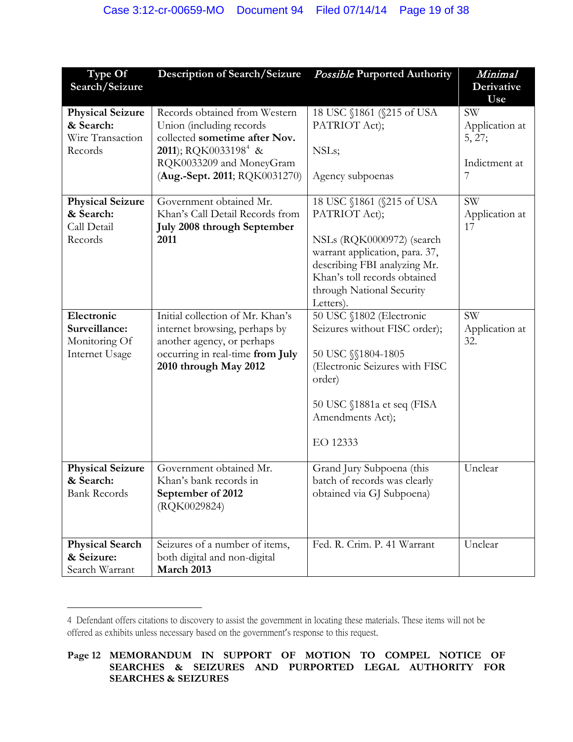| Type Of                 | <b>Description of Search/Seizure</b> | <b>Possible Purported Authority</b>                          | Minimal          |
|-------------------------|--------------------------------------|--------------------------------------------------------------|------------------|
| Search/Seizure          |                                      |                                                              | Derivative       |
| <b>Physical Seizure</b> | Records obtained from Western        | 18 USC §1861 (§215 of USA                                    | Use<br><b>SW</b> |
| & Search:               | Union (including records             | PATRIOT Act);                                                | Application at   |
| Wire Transaction        | collected sometime after Nov.        |                                                              | 5, 27;           |
| Records                 | 2011); RQK0033198 <sup>4</sup> &     | NSLs;                                                        |                  |
|                         | RQK0033209 and MoneyGram             |                                                              | Indictment at    |
|                         | (Aug.-Sept. 2011; RQK0031270)        | Agency subpoenas                                             | 7                |
| <b>Physical Seizure</b> | Government obtained Mr.              | 18 USC §1861 (§215 of USA                                    | <b>SW</b>        |
| & Search:               | Khan's Call Detail Records from      | PATRIOT Act);                                                | Application at   |
| Call Detail             | July 2008 through September          |                                                              | 17               |
| Records                 | 2011                                 | NSLs (RQK0000972) (search                                    |                  |
|                         |                                      | warrant application, para. 37,                               |                  |
|                         |                                      | describing FBI analyzing Mr.<br>Khan's toll records obtained |                  |
|                         |                                      | through National Security                                    |                  |
|                         |                                      | Letters).                                                    |                  |
| Electronic              | Initial collection of Mr. Khan's     | 50 USC §1802 (Electronic                                     | <b>SW</b>        |
| Surveillance:           | internet browsing, perhaps by        | Seizures without FISC order);                                | Application at   |
| Monitoring Of           | another agency, or perhaps           |                                                              | 32.              |
| <b>Internet Usage</b>   | occurring in real-time from July     | 50 USC $$1804-1805$                                          |                  |
|                         | 2010 through May 2012                | (Electronic Seizures with FISC                               |                  |
|                         |                                      | order)                                                       |                  |
|                         |                                      | 50 USC §1881a et seq (FISA                                   |                  |
|                         |                                      | Amendments Act);                                             |                  |
|                         |                                      | EO 12333                                                     |                  |
|                         |                                      |                                                              |                  |
| <b>Physical Seizure</b> | Government obtained Mr.              | Grand Jury Subpoena (this                                    | Unclear          |
| & Search:               | Khan's bank records in               | batch of records was clearly                                 |                  |
| <b>Bank Records</b>     | September of 2012                    | obtained via GJ Subpoena)                                    |                  |
|                         | (RQK0029824)                         |                                                              |                  |
|                         |                                      |                                                              |                  |
| <b>Physical Search</b>  | Seizures of a number of items,       | Fed. R. Crim. P. 41 Warrant                                  | Unclear          |
| & Seizure:              | both digital and non-digital         |                                                              |                  |
| Search Warrant          | March 2013                           |                                                              |                  |

<span id="page-18-0"></span><sup>4</sup> Defendant offers citations to discovery to assist the government in locating these materials. These items will not be offered as exhibits unless necessary based on the government's response to this request.

 $\overline{a}$ 

**Page 12 MEMORANDUM IN SUPPORT OF MOTION TO COMPEL NOTICE OF SEARCHES & SEIZURES AND PURPORTED LEGAL AUTHORITY FOR SEARCHES & SEIZURES**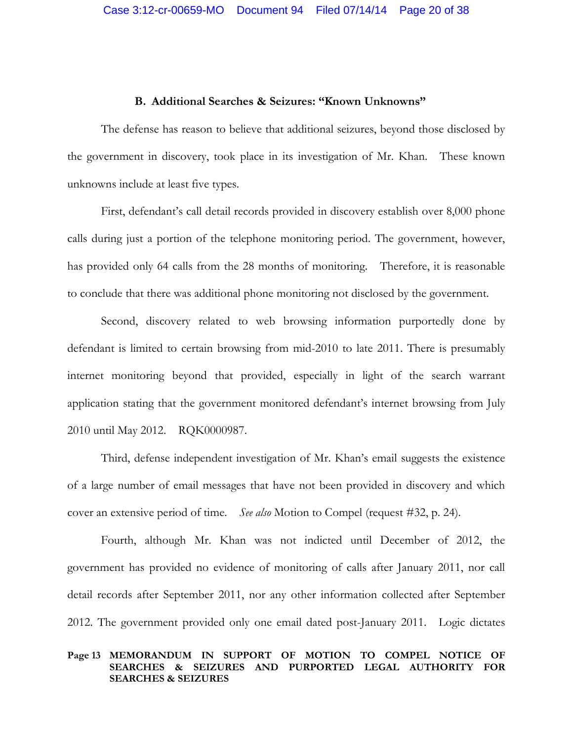#### **B. Additional Searches & Seizures: "Known Unknowns"**

The defense has reason to believe that additional seizures, beyond those disclosed by the government in discovery, took place in its investigation of Mr. Khan. These known unknowns include at least five types.

First, defendant's call detail records provided in discovery establish over 8,000 phone calls during just a portion of the telephone monitoring period. The government, however, has provided only 64 calls from the 28 months of monitoring. Therefore, it is reasonable to conclude that there was additional phone monitoring not disclosed by the government.

Second, discovery related to web browsing information purportedly done by defendant is limited to certain browsing from mid-2010 to late 2011. There is presumably internet monitoring beyond that provided, especially in light of the search warrant application stating that the government monitored defendant's internet browsing from July 2010 until May 2012. RQK0000987.

Third, defense independent investigation of Mr. Khan's email suggests the existence of a large number of email messages that have not been provided in discovery and which cover an extensive period of time. *See also* Motion to Compel (request #32, p. 24).

Fourth, although Mr. Khan was not indicted until December of 2012, the government has provided no evidence of monitoring of calls after January 2011, nor call detail records after September 2011, nor any other information collected after September 2012. The government provided only one email dated post-January 2011. Logic dictates

## **Page 13 MEMORANDUM IN SUPPORT OF MOTION TO COMPEL NOTICE OF SEARCHES & SEIZURES AND PURPORTED LEGAL AUTHORITY FOR SEARCHES & SEIZURES**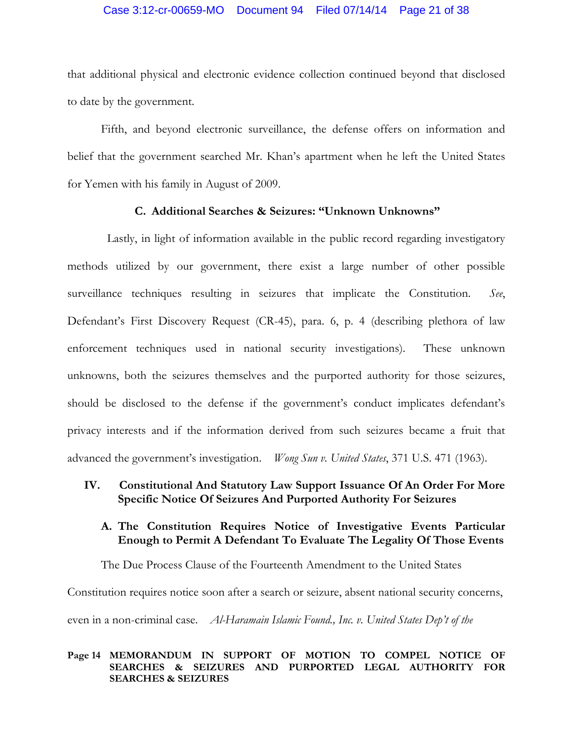## Case 3:12-cr-00659-MO Document 94 Filed 07/14/14 Page 21 of 38

that additional physical and electronic evidence collection continued beyond that disclosed to date by the government.

Fifth, and beyond electronic surveillance, the defense offers on information and belief that the government searched Mr. Khan's apartment when he left the United States for Yemen with his family in August of 2009.

# **C. Additional Searches & Seizures: "Unknown Unknowns"**

Lastly, in light of information available in the public record regarding investigatory methods utilized by our government, there exist a large number of other possible surveillance techniques resulting in seizures that implicate the Constitution. *See*, Defendant's First Discovery Request (CR-45), para. 6, p. 4 (describing plethora of law enforcement techniques used in national security investigations). These unknown unknowns, both the seizures themselves and the purported authority for those seizures, should be disclosed to the defense if the government's conduct implicates defendant's privacy interests and if the information derived from such seizures became a fruit that advanced the government's investigation. *Wong Sun v. United States*, 371 U.S. 471 (1963).

# **IV. Constitutional And Statutory Law Support Issuance Of An Order For More Specific Notice Of Seizures And Purported Authority For Seizures**

# **A. The Constitution Requires Notice of Investigative Events Particular Enough to Permit A Defendant To Evaluate The Legality Of Those Events**

The Due Process Clause of the Fourteenth Amendment to the United States Constitution requires notice soon after a search or seizure, absent national security concerns, even in a non-criminal case. *Al-Haramain Islamic Found., Inc. v. United States Dep't of the* 

## **Page 14 MEMORANDUM IN SUPPORT OF MOTION TO COMPEL NOTICE OF SEARCHES & SEIZURES AND PURPORTED LEGAL AUTHORITY FOR SEARCHES & SEIZURES**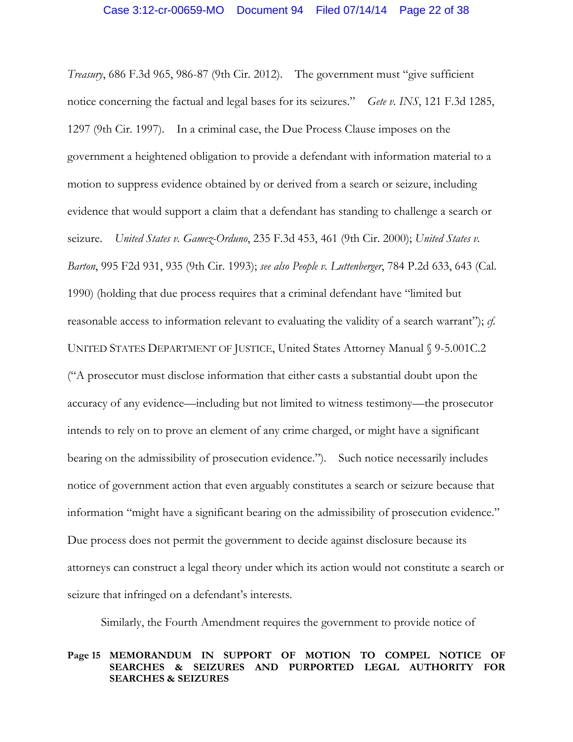*Treasury*, 686 F.3d 965, 986-87 (9th Cir. 2012). The government must "give sufficient notice concerning the factual and legal bases for its seizures." *Gete v. INS*, 121 F.3d 1285, 1297 (9th Cir. 1997). In a criminal case, the Due Process Clause imposes on the government a heightened obligation to provide a defendant with information material to a motion to suppress evidence obtained by or derived from a search or seizure, including evidence that would support a claim that a defendant has standing to challenge a search or seizure. *United States v. Gamez-Orduno*, 235 F.3d 453, 461 (9th Cir. 2000); *United States v. Barton*, 995 F2d 931, 935 (9th Cir. 1993); *see also People v. Luttenberger*, 784 P.2d 633, 643 (Cal. 1990) (holding that due process requires that a criminal defendant have "limited but reasonable access to information relevant to evaluating the validity of a search warrant"); *cf.*  UNITED STATES DEPARTMENT OF JUSTICE, United States Attorney Manual § 9-5.001C.2 ("A prosecutor must disclose information that either casts a substantial doubt upon the accuracy of any evidence—including but not limited to witness testimony—the prosecutor intends to rely on to prove an element of any crime charged, or might have a significant bearing on the admissibility of prosecution evidence."). Such notice necessarily includes notice of government action that even arguably constitutes a search or seizure because that information "might have a significant bearing on the admissibility of prosecution evidence." Due process does not permit the government to decide against disclosure because its attorneys can construct a legal theory under which its action would not constitute a search or seizure that infringed on a defendant's interests.

Similarly, the Fourth Amendment requires the government to provide notice of

#### **Page 15 MEMORANDUM IN SUPPORT OF MOTION TO COMPEL NOTICE OF SEARCHES & SEIZURES AND PURPORTED LEGAL AUTHORITY FOR SEARCHES & SEIZURES**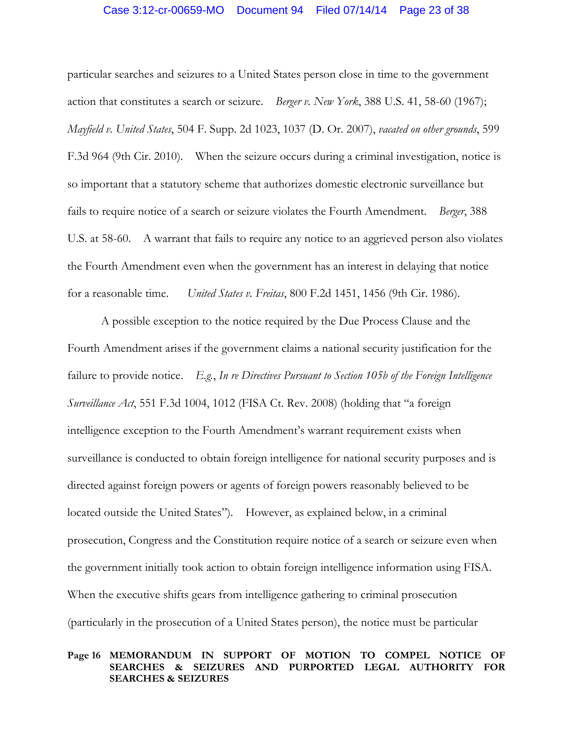### Case 3:12-cr-00659-MO Document 94 Filed 07/14/14 Page 23 of 38

particular searches and seizures to a United States person close in time to the government action that constitutes a search or seizure. *Berger v. New York*, 388 U.S. 41, 58-60 (1967); *Mayfield v. United States*, 504 F. Supp. 2d 1023, 1037 (D. Or. 2007), *vacated on other grounds*, 599 F.3d 964 (9th Cir. 2010). When the seizure occurs during a criminal investigation, notice is so important that a statutory scheme that authorizes domestic electronic surveillance but fails to require notice of a search or seizure violates the Fourth Amendment. *Berger*, 388 U.S. at 58-60. A warrant that fails to require any notice to an aggrieved person also violates the Fourth Amendment even when the government has an interest in delaying that notice for a reasonable time. *United States v. Freitas*, 800 F.2d 1451, 1456 (9th Cir. 1986).

A possible exception to the notice required by the Due Process Clause and the Fourth Amendment arises if the government claims a national security justification for the failure to provide notice. *E.g.*, *In re Directives Pursuant to Section 105b of the Foreign Intelligence Surveillance Act*, 551 F.3d 1004, 1012 (FISA Ct. Rev. 2008) (holding that "a foreign intelligence exception to the Fourth Amendment's warrant requirement exists when surveillance is conducted to obtain foreign intelligence for national security purposes and is directed against foreign powers or agents of foreign powers reasonably believed to be located outside the United States"). However, as explained below, in a criminal prosecution, Congress and the Constitution require notice of a search or seizure even when the government initially took action to obtain foreign intelligence information using FISA. When the executive shifts gears from intelligence gathering to criminal prosecution (particularly in the prosecution of a United States person), the notice must be particular

## **Page 16 MEMORANDUM IN SUPPORT OF MOTION TO COMPEL NOTICE OF SEARCHES & SEIZURES AND PURPORTED LEGAL AUTHORITY FOR SEARCHES & SEIZURES**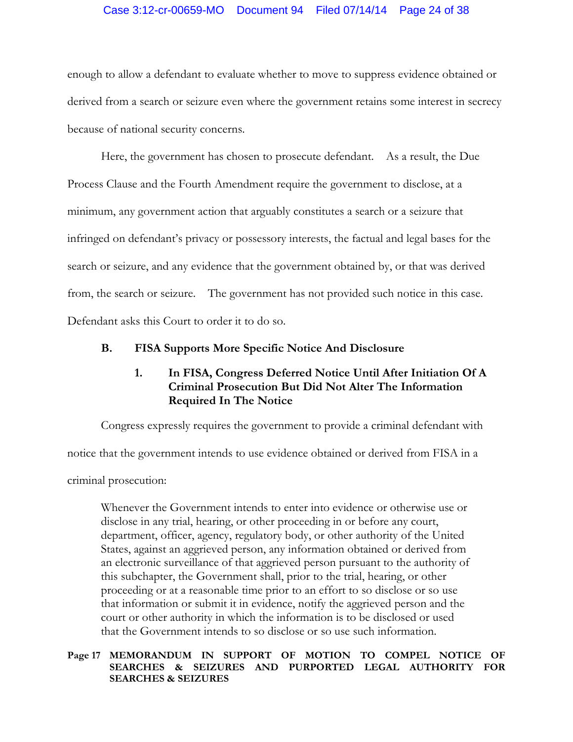# Case 3:12-cr-00659-MO Document 94 Filed 07/14/14 Page 24 of 38

enough to allow a defendant to evaluate whether to move to suppress evidence obtained or derived from a search or seizure even where the government retains some interest in secrecy because of national security concerns.

Here, the government has chosen to prosecute defendant. As a result, the Due Process Clause and the Fourth Amendment require the government to disclose, at a minimum, any government action that arguably constitutes a search or a seizure that infringed on defendant's privacy or possessory interests, the factual and legal bases for the search or seizure, and any evidence that the government obtained by, or that was derived from, the search or seizure. The government has not provided such notice in this case. Defendant asks this Court to order it to do so.

# **B. FISA Supports More Specific Notice And Disclosure**

# **1. In FISA, Congress Deferred Notice Until After Initiation Of A Criminal Prosecution But Did Not Alter The Information Required In The Notice**

Congress expressly requires the government to provide a criminal defendant with

notice that the government intends to use evidence obtained or derived from FISA in a

criminal prosecution:

Whenever the Government intends to enter into evidence or otherwise use or disclose in any trial, hearing, or other proceeding in or before any court, department, officer, agency, regulatory body, or other authority of the United States, against an aggrieved person, any information obtained or derived from an electronic surveillance of that aggrieved person pursuant to the authority of this subchapter, the Government shall, prior to the trial, hearing, or other proceeding or at a reasonable time prior to an effort to so disclose or so use that information or submit it in evidence, notify the aggrieved person and the court or other authority in which the information is to be disclosed or used that the Government intends to so disclose or so use such information.

## **Page 17 MEMORANDUM IN SUPPORT OF MOTION TO COMPEL NOTICE OF SEARCHES & SEIZURES AND PURPORTED LEGAL AUTHORITY FOR SEARCHES & SEIZURES**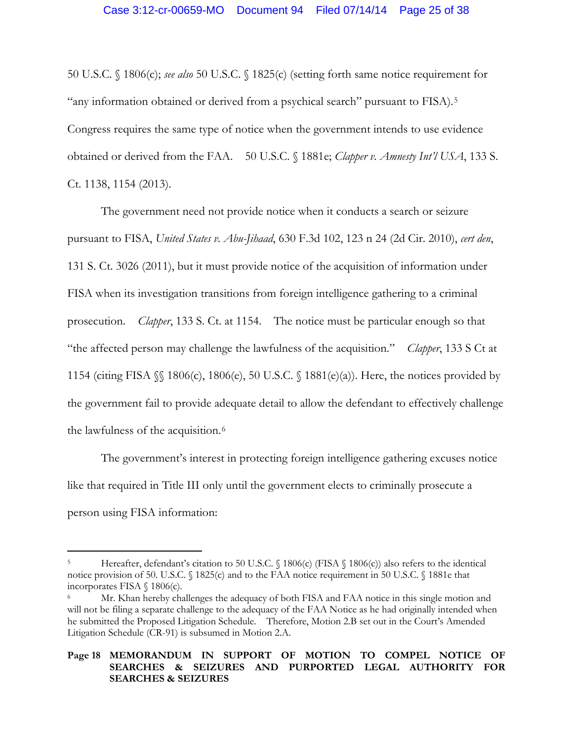50 U.S.C. § 1806(c); *see also* 50 U.S.C. § 1825(c) (setting forth same notice requirement for "any information obtained or derived from a psychical search" pursuant to FISA).[5](#page-24-0) Congress requires the same type of notice when the government intends to use evidence obtained or derived from the FAA. 50 U.S.C. § 1881e; *Clapper v. Amnesty Int'l USA*, 133 S. Ct. 1138, 1154 (2013).

The government need not provide notice when it conducts a search or seizure pursuant to FISA, *United States v. Abu-Jihaad*, 630 F.3d 102, 123 n 24 (2d Cir. 2010), *cert den*, 131 S. Ct. 3026 (2011), but it must provide notice of the acquisition of information under FISA when its investigation transitions from foreign intelligence gathering to a criminal prosecution. *Clapper*, 133 S. Ct. at 1154. The notice must be particular enough so that "the affected person may challenge the lawfulness of the acquisition." *Clapper*, 133 S Ct at 1154 (citing FISA §§ 1806(c), 1806(e), 50 U.S.C. § 1881(e)(a)). Here, the notices provided by the government fail to provide adequate detail to allow the defendant to effectively challenge the lawfulness of the acquisition.<sup>6</sup>

The government's interest in protecting foreign intelligence gathering excuses notice like that required in Title III only until the government elects to criminally prosecute a person using FISA information:

 $\overline{a}$ 

<span id="page-24-0"></span>Hereafter, defendant's citation to 50 U.S.C. § 1806(c) (FISA § 1806(c)) also refers to the identical notice provision of 50. U.S.C. § 1825(c) and to the FAA notice requirement in 50 U.S.C. § 1881e that incorporates FISA § 1806(c).

<span id="page-24-1"></span>Mr. Khan hereby challenges the adequacy of both FISA and FAA notice in this single motion and will not be filing a separate challenge to the adequacy of the FAA Notice as he had originally intended when he submitted the Proposed Litigation Schedule. Therefore, Motion 2.B set out in the Court's Amended Litigation Schedule (CR-91) is subsumed in Motion 2.A.

**Page 18 MEMORANDUM IN SUPPORT OF MOTION TO COMPEL NOTICE OF SEARCHES & SEIZURES AND PURPORTED LEGAL AUTHORITY FOR SEARCHES & SEIZURES**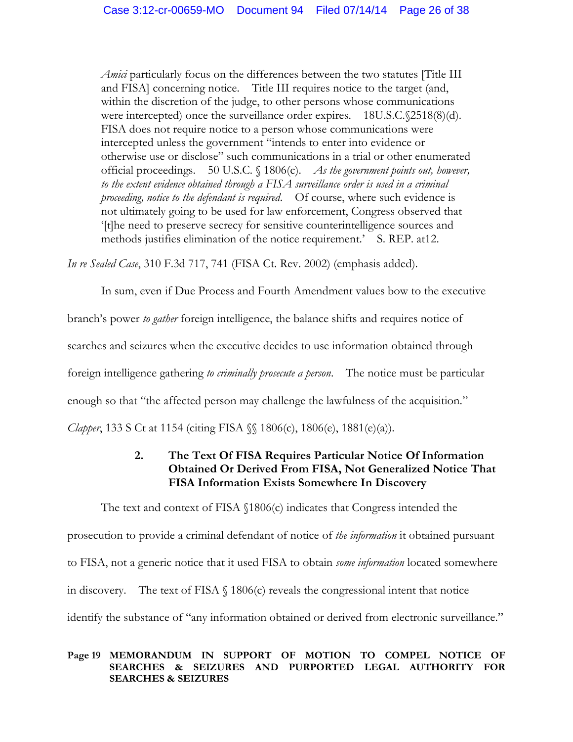*Amici* particularly focus on the differences between the two statutes [Title III and FISA] concerning notice. Title III requires notice to the target (and, within the discretion of the judge, to other persons whose communications were intercepted) once the surveillance order expires. 18U.S.C. (2518(8)(d). FISA does not require notice to a person whose communications were intercepted unless the government "intends to enter into evidence or otherwise use or disclose" such communications in a trial or other enumerated official proceedings. 50 U.S.C. § 1806(c). *As the government points out, however, to the extent evidence obtained through a FISA surveillance order is used in a criminal proceeding, notice to the defendant is required*. Of course, where such evidence is not ultimately going to be used for law enforcement, Congress observed that '[t]he need to preserve secrecy for sensitive counterintelligence sources and methods justifies elimination of the notice requirement.' S. REP. at12.

*In re Sealed Case*, 310 F.3d 717, 741 (FISA Ct. Rev. 2002) (emphasis added).

In sum, even if Due Process and Fourth Amendment values bow to the executive

branch's power *to gather* foreign intelligence, the balance shifts and requires notice of

searches and seizures when the executive decides to use information obtained through

foreign intelligence gathering *to criminally prosecute a person*. The notice must be particular

enough so that "the affected person may challenge the lawfulness of the acquisition."

*Clapper*, 133 S Ct at 1154 (citing FISA  $\%$  1806(c), 1806(e), 1881(e)(a)).

# **2. The Text Of FISA Requires Particular Notice Of Information Obtained Or Derived From FISA, Not Generalized Notice That FISA Information Exists Somewhere In Discovery**

The text and context of FISA §1806(c) indicates that Congress intended the prosecution to provide a criminal defendant of notice of *the information* it obtained pursuant to FISA, not a generic notice that it used FISA to obtain *some information* located somewhere in discovery. The text of FISA  $\S$  1806(c) reveals the congressional intent that notice identify the substance of "any information obtained or derived from electronic surveillance."

## **Page 19 MEMORANDUM IN SUPPORT OF MOTION TO COMPEL NOTICE OF SEARCHES & SEIZURES AND PURPORTED LEGAL AUTHORITY FOR SEARCHES & SEIZURES**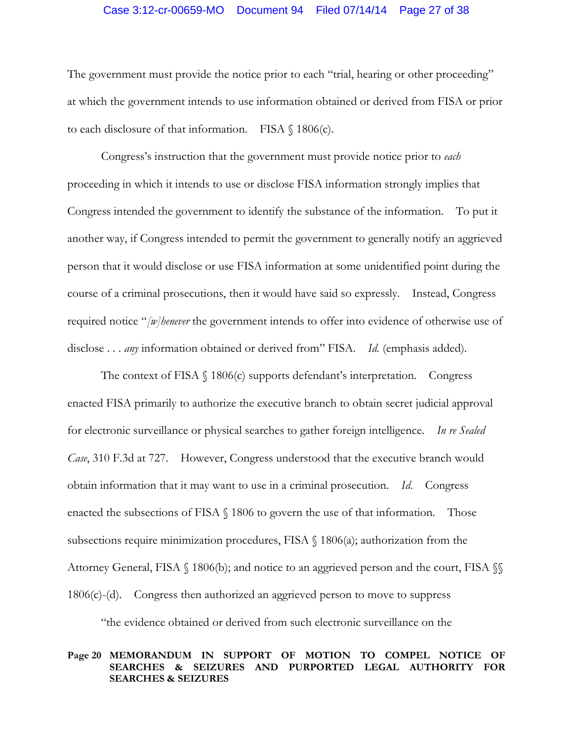## Case 3:12-cr-00659-MO Document 94 Filed 07/14/14 Page 27 of 38

The government must provide the notice prior to each "trial, hearing or other proceeding" at which the government intends to use information obtained or derived from FISA or prior to each disclosure of that information. FISA § 1806(c).

Congress's instruction that the government must provide notice prior to *each*  proceeding in which it intends to use or disclose FISA information strongly implies that Congress intended the government to identify the substance of the information. To put it another way, if Congress intended to permit the government to generally notify an aggrieved person that it would disclose or use FISA information at some unidentified point during the course of a criminal prosecutions, then it would have said so expressly. Instead, Congress required notice "*[w]henever* the government intends to offer into evidence of otherwise use of disclose . . . *any* information obtained or derived from" FISA. *Id.* (emphasis added).

The context of FISA  $\S$  1806(c) supports defendant's interpretation. Congress enacted FISA primarily to authorize the executive branch to obtain secret judicial approval for electronic surveillance or physical searches to gather foreign intelligence. *In re Sealed Case*, 310 F.3d at 727. However, Congress understood that the executive branch would obtain information that it may want to use in a criminal prosecution. *Id*. Congress enacted the subsections of FISA  $\S$  1806 to govern the use of that information. Those subsections require minimization procedures, FISA  $\S$  1806(a); authorization from the Attorney General, FISA § 1806(b); and notice to an aggrieved person and the court, FISA §§ 1806(c)-(d). Congress then authorized an aggrieved person to move to suppress

"the evidence obtained or derived from such electronic surveillance on the

#### **Page 20 MEMORANDUM IN SUPPORT OF MOTION TO COMPEL NOTICE OF SEARCHES & SEIZURES AND PURPORTED LEGAL AUTHORITY FOR SEARCHES & SEIZURES**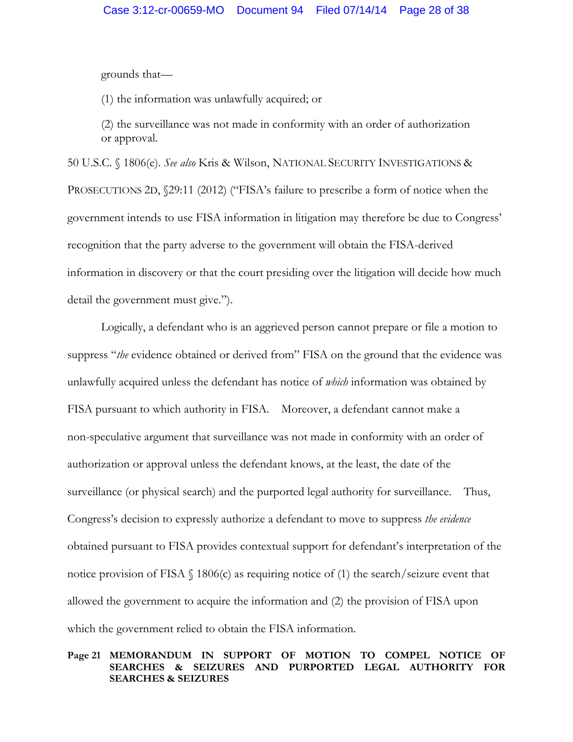grounds that—

(1) the information was unlawfully acquired; or

(2) the surveillance was not made in conformity with an order of authorization or approval.

50 U.S.C. § 1806(e). *See also* Kris & Wilson, NATIONAL SECURITY INVESTIGATIONS & PROSECUTIONS 2D,  $\$ 29:11 (2012) ("FISA's failure to prescribe a form of notice when the government intends to use FISA information in litigation may therefore be due to Congress' recognition that the party adverse to the government will obtain the FISA-derived information in discovery or that the court presiding over the litigation will decide how much detail the government must give.").

Logically, a defendant who is an aggrieved person cannot prepare or file a motion to suppress "*the* evidence obtained or derived from" FISA on the ground that the evidence was unlawfully acquired unless the defendant has notice of *which* information was obtained by FISA pursuant to which authority in FISA. Moreover, a defendant cannot make a non-speculative argument that surveillance was not made in conformity with an order of authorization or approval unless the defendant knows, at the least, the date of the surveillance (or physical search) and the purported legal authority for surveillance. Thus, Congress's decision to expressly authorize a defendant to move to suppress *the evidence*  obtained pursuant to FISA provides contextual support for defendant's interpretation of the notice provision of FISA  $\S$  1806(c) as requiring notice of (1) the search/seizure event that allowed the government to acquire the information and (2) the provision of FISA upon which the government relied to obtain the FISA information.

## **Page 21 MEMORANDUM IN SUPPORT OF MOTION TO COMPEL NOTICE OF SEARCHES & SEIZURES AND PURPORTED LEGAL AUTHORITY FOR SEARCHES & SEIZURES**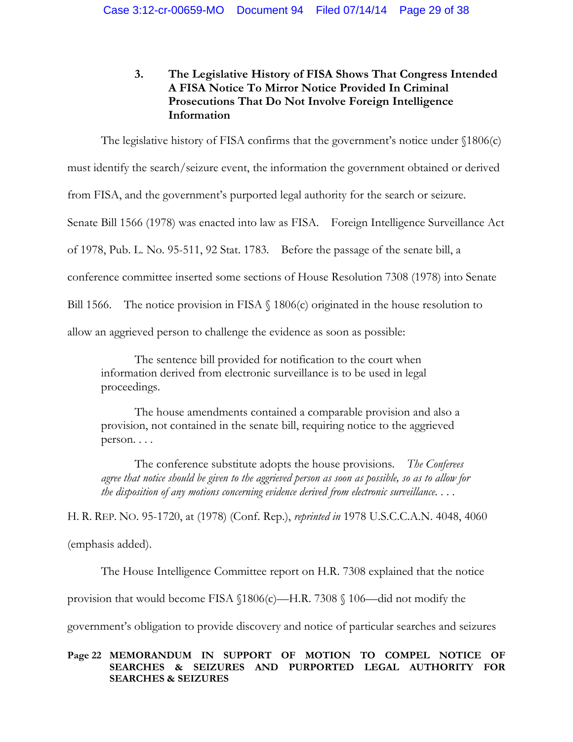# **3. The Legislative History of FISA Shows That Congress Intended A FISA Notice To Mirror Notice Provided In Criminal Prosecutions That Do Not Involve Foreign Intelligence Information**

The legislative history of FISA confirms that the government's notice under §1806(c)

must identify the search/seizure event, the information the government obtained or derived

from FISA, and the government's purported legal authority for the search or seizure.

Senate Bill 1566 (1978) was enacted into law as FISA. Foreign Intelligence Surveillance Act

of 1978, Pub. L. No. 95-511, 92 Stat. 1783. Before the passage of the senate bill, a

conference committee inserted some sections of House Resolution 7308 (1978) into Senate

Bill 1566. The notice provision in FISA  $\S$  1806(c) originated in the house resolution to

allow an aggrieved person to challenge the evidence as soon as possible:

The sentence bill provided for notification to the court when information derived from electronic surveillance is to be used in legal proceedings.

The house amendments contained a comparable provision and also a provision, not contained in the senate bill, requiring notice to the aggrieved person. . . .

The conference substitute adopts the house provisions. *The Conferees agree that notice should be given to the aggrieved person as soon as possible, so as to allow for the disposition of any motions concerning evidence derived from electronic surveillance*. . . .

H. R. REP. NO. 95-1720, at (1978) (Conf. Rep.), *reprinted in* 1978 U.S.C.C.A.N. 4048, 4060 (emphasis added).

The House Intelligence Committee report on H.R. 7308 explained that the notice

provision that would become FISA §1806(c)—H.R. 7308 § 106—did not modify the

government's obligation to provide discovery and notice of particular searches and seizures

# **Page 22 MEMORANDUM IN SUPPORT OF MOTION TO COMPEL NOTICE OF SEARCHES & SEIZURES AND PURPORTED LEGAL AUTHORITY FOR SEARCHES & SEIZURES**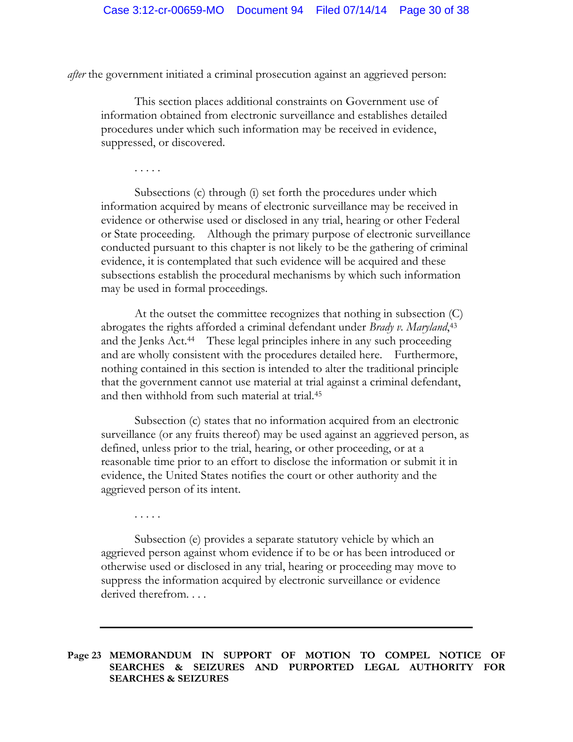*after* the government initiated a criminal prosecution against an aggrieved person:

This section places additional constraints on Government use of information obtained from electronic surveillance and establishes detailed procedures under which such information may be received in evidence, suppressed, or discovered.

. . . . .

. . . . .

Subsections (c) through (i) set forth the procedures under which information acquired by means of electronic surveillance may be received in evidence or otherwise used or disclosed in any trial, hearing or other Federal or State proceeding. Although the primary purpose of electronic surveillance conducted pursuant to this chapter is not likely to be the gathering of criminal evidence, it is contemplated that such evidence will be acquired and these subsections establish the procedural mechanisms by which such information may be used in formal proceedings.

At the outset the committee recognizes that nothing in subsection (C) abrogates the rights afforded a criminal defendant under *Brady v. Maryland*, 43 and the Jenks Act.<sup>44</sup> These legal principles inhere in any such proceeding and are wholly consistent with the procedures detailed here. Furthermore, nothing contained in this section is intended to alter the traditional principle that the government cannot use material at trial against a criminal defendant, and then withhold from such material at trial.45

Subsection (c) states that no information acquired from an electronic surveillance (or any fruits thereof) may be used against an aggrieved person, as defined, unless prior to the trial, hearing, or other proceeding, or at a reasonable time prior to an effort to disclose the information or submit it in evidence, the United States notifies the court or other authority and the aggrieved person of its intent.

Subsection (e) provides a separate statutory vehicle by which an aggrieved person against whom evidence if to be or has been introduced or otherwise used or disclosed in any trial, hearing or proceeding may move to suppress the information acquired by electronic surveillance or evidence derived therefrom. . . .

**Page 23 MEMORANDUM IN SUPPORT OF MOTION TO COMPEL NOTICE OF SEARCHES & SEIZURES AND PURPORTED LEGAL AUTHORITY FOR SEARCHES & SEIZURES**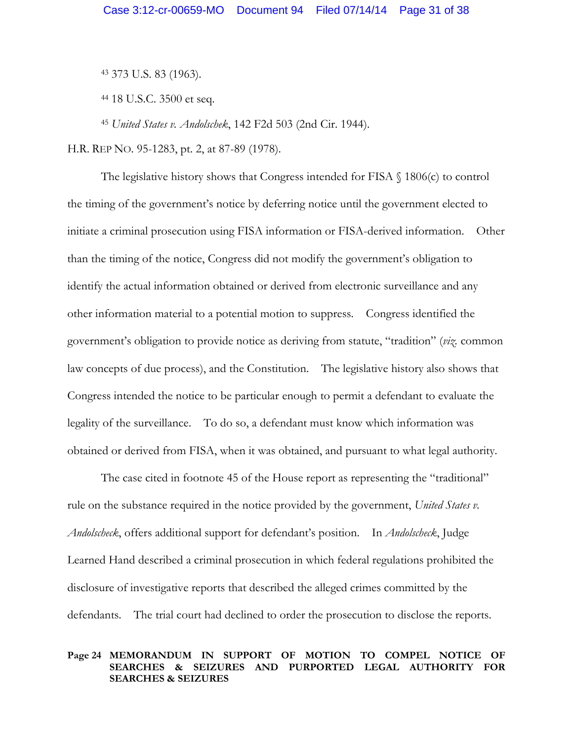<sup>43</sup> 373 U.S. 83 (1963).

<sup>44</sup> 18 U.S.C. 3500 et seq.

<sup>45</sup> *United States v. Andolschek*, 142 F2d 503 (2nd Cir. 1944).

H.R. REP NO. 95-1283, pt. 2, at 87-89 (1978).

The legislative history shows that Congress intended for FISA § 1806(c) to control the timing of the government's notice by deferring notice until the government elected to initiate a criminal prosecution using FISA information or FISA-derived information. Other than the timing of the notice, Congress did not modify the government's obligation to identify the actual information obtained or derived from electronic surveillance and any other information material to a potential motion to suppress. Congress identified the government's obligation to provide notice as deriving from statute, "tradition" (*viz.* common law concepts of due process), and the Constitution. The legislative history also shows that Congress intended the notice to be particular enough to permit a defendant to evaluate the legality of the surveillance. To do so, a defendant must know which information was obtained or derived from FISA, when it was obtained, and pursuant to what legal authority.

The case cited in footnote 45 of the House report as representing the "traditional" rule on the substance required in the notice provided by the government, *United States v. Andolscheck*, offers additional support for defendant's position. In *Andolscheck*, Judge Learned Hand described a criminal prosecution in which federal regulations prohibited the disclosure of investigative reports that described the alleged crimes committed by the defendants. The trial court had declined to order the prosecution to disclose the reports.

#### **Page 24 MEMORANDUM IN SUPPORT OF MOTION TO COMPEL NOTICE OF SEARCHES & SEIZURES AND PURPORTED LEGAL AUTHORITY FOR SEARCHES & SEIZURES**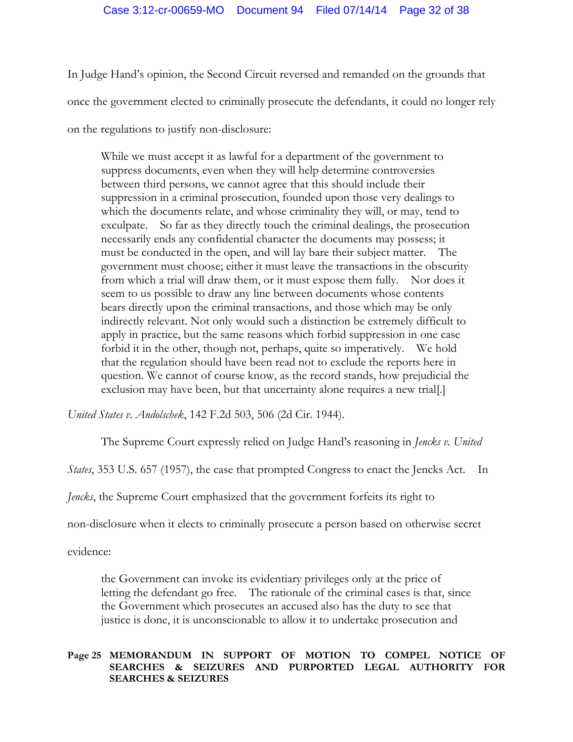In Judge Hand's opinion, the Second Circuit reversed and remanded on the grounds that once the government elected to criminally prosecute the defendants, it could no longer rely on the regulations to justify non-disclosure:

While we must accept it as lawful for a department of the government to suppress documents, even when they will help determine controversies between third persons, we cannot agree that this should include their suppression in a criminal prosecution, founded upon those very dealings to which the documents relate, and whose criminality they will, or may, tend to exculpate. So far as they directly touch the criminal dealings, the prosecution necessarily ends any confidential character the documents may possess; it must be conducted in the open, and will lay bare their subject matter. The government must choose; either it must leave the transactions in the obscurity from which a trial will draw them, or it must expose them fully. Nor does it seem to us possible to draw any line between documents whose contents bears directly upon the criminal transactions, and those which may be only indirectly relevant. Not only would such a distinction be extremely difficult to apply in practice, but the same reasons which forbid suppression in one case forbid it in the other, though not, perhaps, quite so imperatively. We hold that the regulation should have been read not to exclude the reports here in question. We cannot of course know, as the record stands, how prejudicial the exclusion may have been, but that uncertainty alone requires a new trial[.]

*United States v. Andolschek*, 142 F.2d 503, 506 (2d Cir. 1944).

The Supreme Court expressly relied on Judge Hand's reasoning in *Jencks v. United* 

*States*, 353 U.S. 657 (1957), the case that prompted Congress to enact the Jencks Act. In

*Jencks*, the Supreme Court emphasized that the government forfeits its right to

non-disclosure when it elects to criminally prosecute a person based on otherwise secret

evidence:

the Government can invoke its evidentiary privileges only at the price of letting the defendant go free. The rationale of the criminal cases is that, since the Government which prosecutes an accused also has the duty to see that justice is done, it is unconscionable to allow it to undertake prosecution and

# **Page 25 MEMORANDUM IN SUPPORT OF MOTION TO COMPEL NOTICE OF SEARCHES & SEIZURES AND PURPORTED LEGAL AUTHORITY FOR SEARCHES & SEIZURES**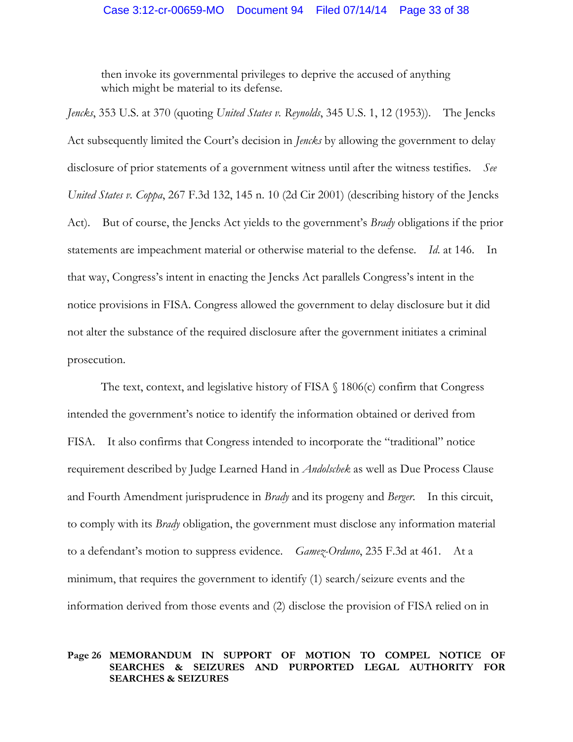then invoke its governmental privileges to deprive the accused of anything which might be material to its defense.

*Jencks*, 353 U.S. at 370 (quoting *United States v. Reynolds*, 345 U.S. 1, 12 (1953)). The Jencks Act subsequently limited the Court's decision in *Jencks* by allowing the government to delay disclosure of prior statements of a government witness until after the witness testifies. *See United States v. Coppa*, 267 F.3d 132, 145 n. 10 (2d Cir 2001) (describing history of the Jencks Act). But of course, the Jencks Act yields to the government's *Brady* obligations if the prior statements are impeachment material or otherwise material to the defense. *Id*. at 146. In that way, Congress's intent in enacting the Jencks Act parallels Congress's intent in the notice provisions in FISA. Congress allowed the government to delay disclosure but it did not alter the substance of the required disclosure after the government initiates a criminal prosecution.

The text, context, and legislative history of FISA § 1806(c) confirm that Congress intended the government's notice to identify the information obtained or derived from FISA. It also confirms that Congress intended to incorporate the "traditional" notice requirement described by Judge Learned Hand in *Andolschek* as well as Due Process Clause and Fourth Amendment jurisprudence in *Brady* and its progeny and *Berger*. In this circuit, to comply with its *Brady* obligation, the government must disclose any information material to a defendant's motion to suppress evidence. *Gamez-Orduno*, 235 F.3d at 461.At a minimum, that requires the government to identify (1) search/seizure events and the information derived from those events and (2) disclose the provision of FISA relied on in

#### **Page 26 MEMORANDUM IN SUPPORT OF MOTION TO COMPEL NOTICE OF SEARCHES & SEIZURES AND PURPORTED LEGAL AUTHORITY FOR SEARCHES & SEIZURES**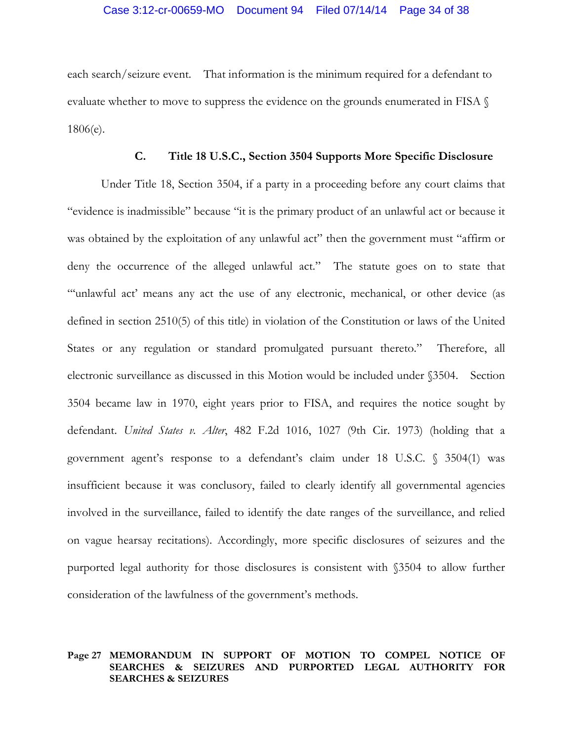each search/seizure event. That information is the minimum required for a defendant to evaluate whether to move to suppress the evidence on the grounds enumerated in FISA § 1806(e).

# **C. Title 18 U.S.C., Section 3504 Supports More Specific Disclosure**

Under Title 18, Section 3504, if a party in a proceeding before any court claims that "evidence is inadmissible" because "it is the primary product of an unlawful act or because it was obtained by the exploitation of any unlawful act" then the government must "affirm or deny the occurrence of the alleged unlawful act." The statute goes on to state that "'unlawful act' means any act the use of any electronic, mechanical, or other device (as defined in section 2510(5) of this title) in violation of the Constitution or laws of the United States or any regulation or standard promulgated pursuant thereto." Therefore, all electronic surveillance as discussed in this Motion would be included under §3504. Section 3504 became law in 1970, eight years prior to FISA, and requires the notice sought by defendant. *United States v. Alter*, 482 F.2d 1016, 1027 (9th Cir. 1973) (holding that a government agent's response to a defendant's claim under 18 U.S.C. § 3504(1) was insufficient because it was conclusory, failed to clearly identify all governmental agencies involved in the surveillance, failed to identify the date ranges of the surveillance, and relied on vague hearsay recitations). Accordingly, more specific disclosures of seizures and the purported legal authority for those disclosures is consistent with §3504 to allow further consideration of the lawfulness of the government's methods.

## **Page 27 MEMORANDUM IN SUPPORT OF MOTION TO COMPEL NOTICE OF SEARCHES & SEIZURES AND PURPORTED LEGAL AUTHORITY FOR SEARCHES & SEIZURES**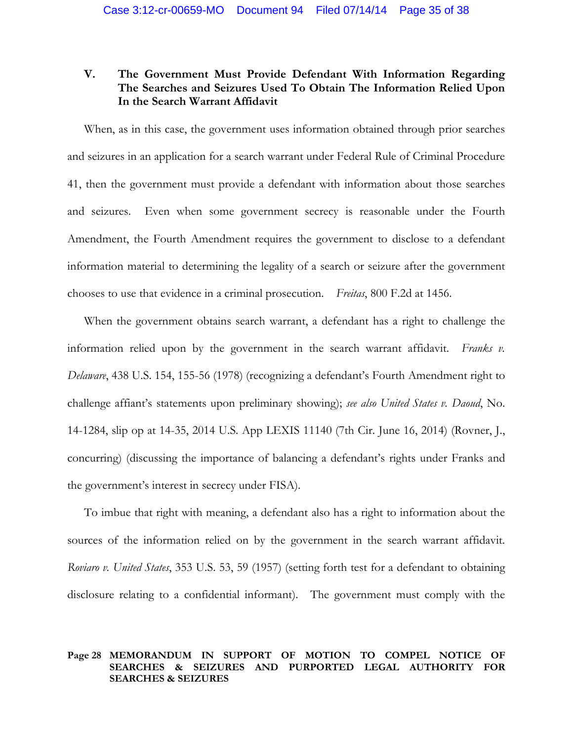# **V. The Government Must Provide Defendant With Information Regarding The Searches and Seizures Used To Obtain The Information Relied Upon In the Search Warrant Affidavit**

When, as in this case, the government uses information obtained through prior searches and seizures in an application for a search warrant under Federal Rule of Criminal Procedure 41, then the government must provide a defendant with information about those searches and seizures. Even when some government secrecy is reasonable under the Fourth Amendment, the Fourth Amendment requires the government to disclose to a defendant information material to determining the legality of a search or seizure after the government chooses to use that evidence in a criminal prosecution. *Freitas*, 800 F.2d at 1456.

When the government obtains search warrant, a defendant has a right to challenge the information relied upon by the government in the search warrant affidavit. *Franks v. Delaware*, 438 U.S. 154, 155-56 (1978) (recognizing a defendant's Fourth Amendment right to challenge affiant's statements upon preliminary showing); *see also United States v. Daoud*, No. 14-1284, slip op at 14-35, 2014 U.S. App LEXIS 11140 (7th Cir. June 16, 2014) (Rovner, J., concurring) (discussing the importance of balancing a defendant's rights under Franks and the government's interest in secrecy under FISA).

To imbue that right with meaning, a defendant also has a right to information about the sources of the information relied on by the government in the search warrant affidavit. *Roviaro v. United States*, 353 U.S. 53, 59 (1957) (setting forth test for a defendant to obtaining disclosure relating to a confidential informant). The government must comply with the

## **Page 28 MEMORANDUM IN SUPPORT OF MOTION TO COMPEL NOTICE OF SEARCHES & SEIZURES AND PURPORTED LEGAL AUTHORITY FOR SEARCHES & SEIZURES**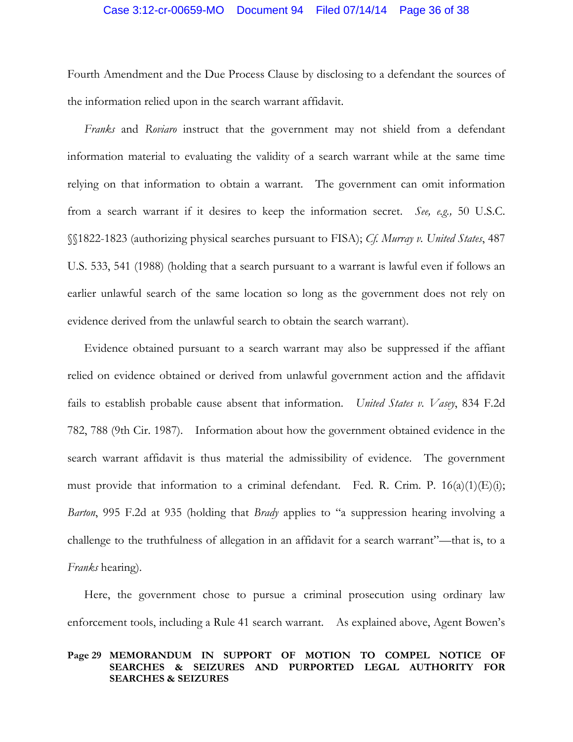Fourth Amendment and the Due Process Clause by disclosing to a defendant the sources of the information relied upon in the search warrant affidavit.

*Franks* and *Roviaro* instruct that the government may not shield from a defendant information material to evaluating the validity of a search warrant while at the same time relying on that information to obtain a warrant. The government can omit information from a search warrant if it desires to keep the information secret. *See, e.g.,* 50 U.S.C. §§1822-1823 (authorizing physical searches pursuant to FISA); *Cf. Murray v. United States*, 487 U.S. 533, 541 (1988) (holding that a search pursuant to a warrant is lawful even if follows an earlier unlawful search of the same location so long as the government does not rely on evidence derived from the unlawful search to obtain the search warrant).

Evidence obtained pursuant to a search warrant may also be suppressed if the affiant relied on evidence obtained or derived from unlawful government action and the affidavit fails to establish probable cause absent that information. *United States v. Vasey*, 834 F.2d 782, 788 (9th Cir. 1987). Information about how the government obtained evidence in the search warrant affidavit is thus material the admissibility of evidence. The government must provide that information to a criminal defendant. Fed. R. Crim. P.  $16(a)(1)(E)(i)$ ; *Barton*, 995 F.2d at 935 (holding that *Brady* applies to "a suppression hearing involving a challenge to the truthfulness of allegation in an affidavit for a search warrant"—that is, to a *Franks* hearing).

Here, the government chose to pursue a criminal prosecution using ordinary law enforcement tools, including a Rule 41 search warrant. As explained above, Agent Bowen's

## **Page 29 MEMORANDUM IN SUPPORT OF MOTION TO COMPEL NOTICE OF SEARCHES & SEIZURES AND PURPORTED LEGAL AUTHORITY FOR SEARCHES & SEIZURES**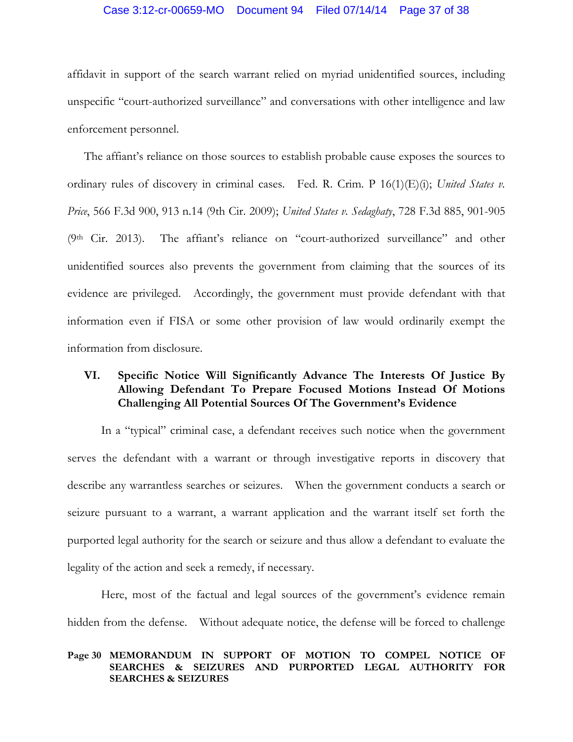## Case 3:12-cr-00659-MO Document 94 Filed 07/14/14 Page 37 of 38

affidavit in support of the search warrant relied on myriad unidentified sources, including unspecific "court-authorized surveillance" and conversations with other intelligence and law enforcement personnel.

The affiant's reliance on those sources to establish probable cause exposes the sources to ordinary rules of discovery in criminal cases. Fed. R. Crim. P 16(1)(E)(i); *United States v. Price*, 566 F.3d 900, 913 n.14 (9th Cir. 2009); *United States v. Sedaghaty*, 728 F.3d 885, 901-905 (9th Cir. 2013). The affiant's reliance on "court-authorized surveillance" and other unidentified sources also prevents the government from claiming that the sources of its evidence are privileged. Accordingly, the government must provide defendant with that information even if FISA or some other provision of law would ordinarily exempt the information from disclosure.

# **VI. Specific Notice Will Significantly Advance The Interests Of Justice By Allowing Defendant To Prepare Focused Motions Instead Of Motions Challenging All Potential Sources Of The Government's Evidence**

In a "typical" criminal case, a defendant receives such notice when the government serves the defendant with a warrant or through investigative reports in discovery that describe any warrantless searches or seizures. When the government conducts a search or seizure pursuant to a warrant, a warrant application and the warrant itself set forth the purported legal authority for the search or seizure and thus allow a defendant to evaluate the legality of the action and seek a remedy, if necessary.

Here, most of the factual and legal sources of the government's evidence remain hidden from the defense. Without adequate notice, the defense will be forced to challenge

## **Page 30 MEMORANDUM IN SUPPORT OF MOTION TO COMPEL NOTICE OF SEARCHES & SEIZURES AND PURPORTED LEGAL AUTHORITY FOR SEARCHES & SEIZURES**